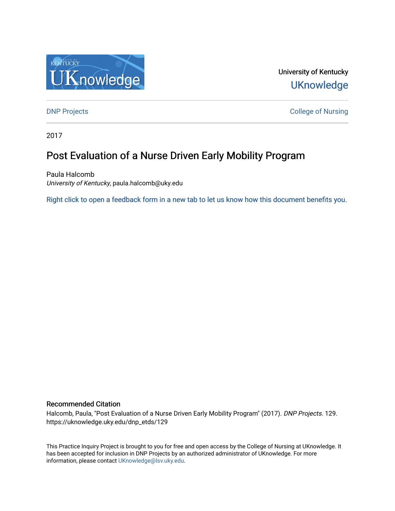

University of Kentucky **UKnowledge** 

**DNP Projects** College of Nursing

2017

# Post Evaluation of a Nurse Driven Early Mobility Program

Paula Halcomb University of Kentucky, paula.halcomb@uky.edu

[Right click to open a feedback form in a new tab to let us know how this document benefits you.](https://uky.az1.qualtrics.com/jfe/form/SV_9mq8fx2GnONRfz7)

## Recommended Citation

Halcomb, Paula, "Post Evaluation of a Nurse Driven Early Mobility Program" (2017). DNP Projects. 129. https://uknowledge.uky.edu/dnp\_etds/129

This Practice Inquiry Project is brought to you for free and open access by the College of Nursing at UKnowledge. It has been accepted for inclusion in DNP Projects by an authorized administrator of UKnowledge. For more information, please contact [UKnowledge@lsv.uky.edu](mailto:UKnowledge@lsv.uky.edu).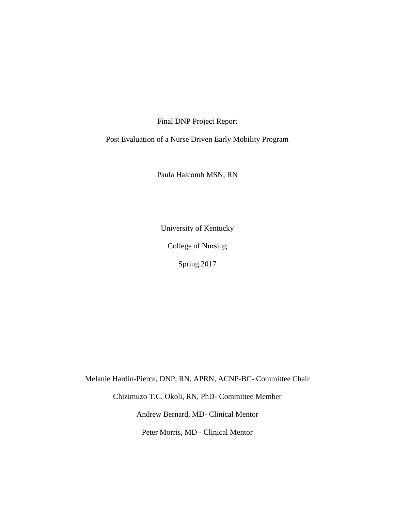Final DNP Project Report

Post Evaluation of a Nurse Driven Early Mobility Program

Paula Halcomb MSN, RN

University of Kentucky

College of Nursing

Spring 2017

Melanie Hardin-Pierce, DNP, RN, APRN, ACNP-BC- Committee Chair

Chizimuzo T.C. Okoli, RN, PhD- Committee Member

Andrew Bernard, MD- Clinical Mentor

Peter Morris, MD - Clinical Mentor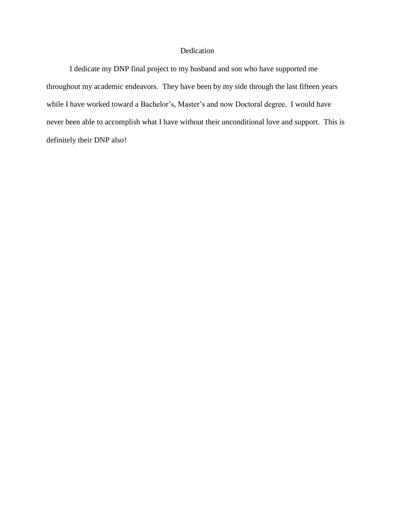## Dedication

I dedicate my DNP final project to my husband and son who have supported me throughout my academic endeavors. They have been by my side through the last fifteen years while I have worked toward a Bachelor's, Master's and now Doctoral degree. I would have never been able to accomplish what I have without their unconditional love and support. This is definitely their DNP also!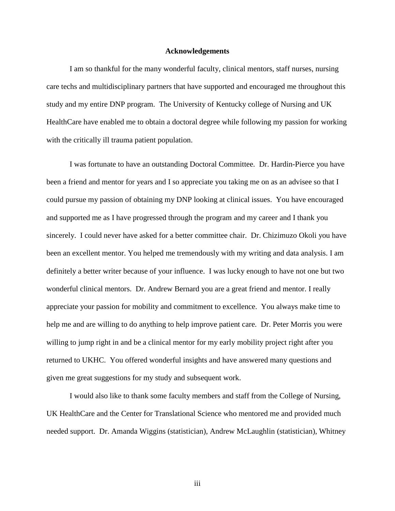### **Acknowledgements**

I am so thankful for the many wonderful faculty, clinical mentors, staff nurses, nursing care techs and multidisciplinary partners that have supported and encouraged me throughout this study and my entire DNP program. The University of Kentucky college of Nursing and UK HealthCare have enabled me to obtain a doctoral degree while following my passion for working with the critically ill trauma patient population.

I was fortunate to have an outstanding Doctoral Committee. Dr. Hardin-Pierce you have been a friend and mentor for years and I so appreciate you taking me on as an advisee so that I could pursue my passion of obtaining my DNP looking at clinical issues. You have encouraged and supported me as I have progressed through the program and my career and I thank you sincerely. I could never have asked for a better committee chair. Dr. Chizimuzo Okoli you have been an excellent mentor. You helped me tremendously with my writing and data analysis. I am definitely a better writer because of your influence. I was lucky enough to have not one but two wonderful clinical mentors. Dr. Andrew Bernard you are a great friend and mentor. I really appreciate your passion for mobility and commitment to excellence. You always make time to help me and are willing to do anything to help improve patient care. Dr. Peter Morris you were willing to jump right in and be a clinical mentor for my early mobility project right after you returned to UKHC. You offered wonderful insights and have answered many questions and given me great suggestions for my study and subsequent work.

I would also like to thank some faculty members and staff from the College of Nursing, UK HealthCare and the Center for Translational Science who mentored me and provided much needed support. Dr. Amanda Wiggins (statistician), Andrew McLaughlin (statistician), Whitney

iii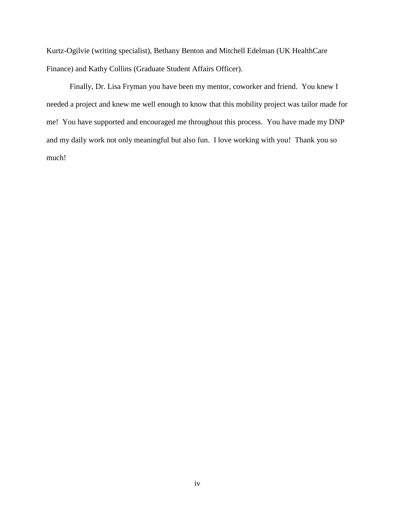Kurtz-Ogilvie (writing specialist), Bethany Benton and Mitchell Edelman (UK HealthCare Finance) and Kathy Collins (Graduate Student Affairs Officer).

Finally, Dr. Lisa Fryman you have been my mentor, coworker and friend. You knew I needed a project and knew me well enough to know that this mobility project was tailor made for me! You have supported and encouraged me throughout this process. You have made my DNP and my daily work not only meaningful but also fun. I love working with you! Thank you so much!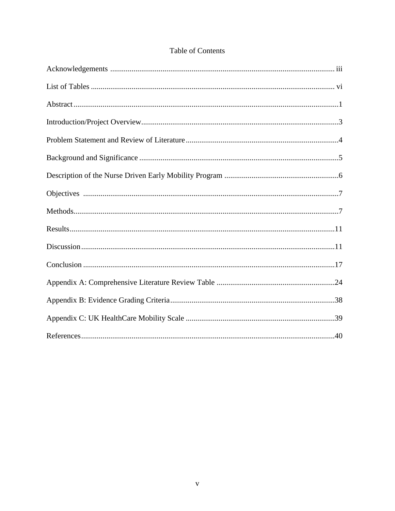| <b>Table of Contents</b> |
|--------------------------|
|--------------------------|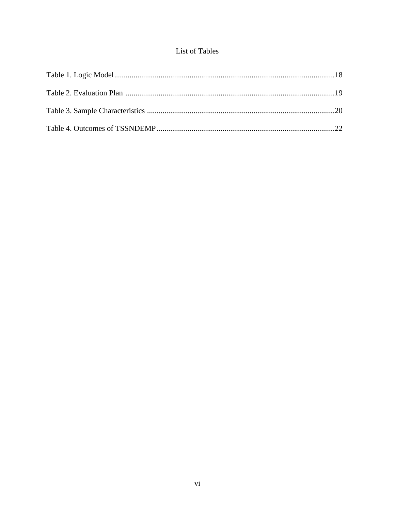## List of Tables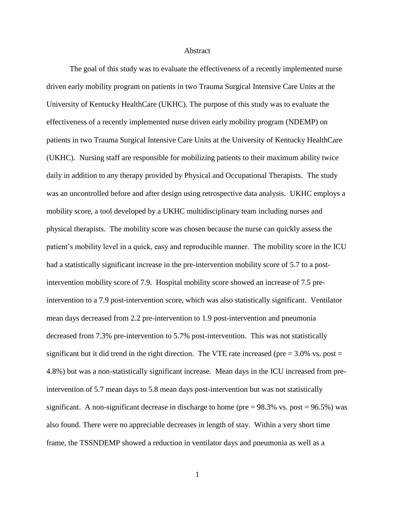### Abstract

The goal of this study was to evaluate the effectiveness of a recently implemented nurse driven early mobility program on patients in two Trauma Surgical Intensive Care Units at the University of Kentucky HealthCare (UKHC). The purpose of this study was to evaluate the effectiveness of a recently implemented nurse driven early mobility program (NDEMP) on patients in two Trauma Surgical Intensive Care Units at the University of Kentucky HealthCare (UKHC). Nursing staff are responsible for mobilizing patients to their maximum ability twice daily in addition to any therapy provided by Physical and Occupational Therapists. The study was an uncontrolled before and after design using retrospective data analysis. UKHC employs a mobility score, a tool developed by a UKHC multidisciplinary team including nurses and physical therapists. The mobility score was chosen because the nurse can quickly assess the patient's mobility level in a quick, easy and reproducible manner. The mobility score in the ICU had a statistically significant increase in the pre-intervention mobility score of 5.7 to a postintervention mobility score of 7.9. Hospital mobility score showed an increase of 7.5 preintervention to a 7.9 post-intervention score, which was also statistically significant. Ventilator mean days decreased from 2.2 pre-intervention to 1.9 post-intervention and pneumonia decreased from 7.3% pre-intervention to 5.7% post-intervention. This was not statistically significant but it did trend in the right direction. The VTE rate increased (pre  $= 3.0\%$  vs. post  $=$ 4.8%) but was a non-statistically significant increase. Mean days in the ICU increased from preintervention of 5.7 mean days to 5.8 mean days post-intervention but was not statistically significant. A non-significant decrease in discharge to home (pre  $= 98.3\%$  vs. post  $= 96.5\%$ ) was also found. There were no appreciable decreases in length of stay. Within a very short time frame, the TSSNDEMP showed a reduction in ventilator days and pneumonia as well as a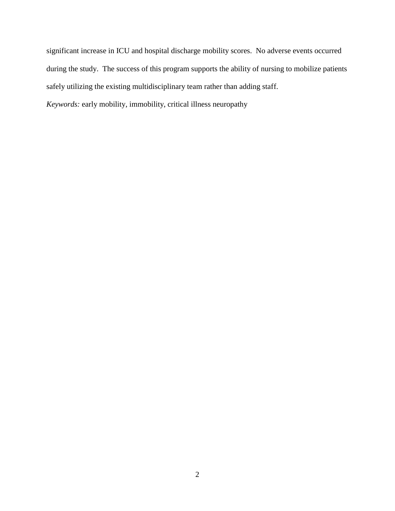significant increase in ICU and hospital discharge mobility scores. No adverse events occurred during the study. The success of this program supports the ability of nursing to mobilize patients safely utilizing the existing multidisciplinary team rather than adding staff.

*Keywords:* early mobility, immobility, critical illness neuropathy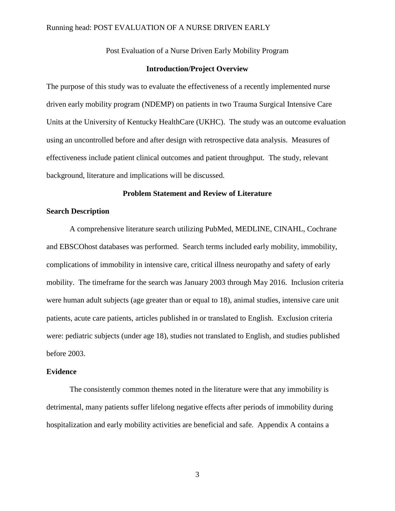### Running head: POST EVALUATION OF A NURSE DRIVEN EARLY

Post Evaluation of a Nurse Driven Early Mobility Program

### **Introduction/Project Overview**

The purpose of this study was to evaluate the effectiveness of a recently implemented nurse driven early mobility program (NDEMP) on patients in two Trauma Surgical Intensive Care Units at the University of Kentucky HealthCare (UKHC). The study was an outcome evaluation using an uncontrolled before and after design with retrospective data analysis. Measures of effectiveness include patient clinical outcomes and patient throughput. The study, relevant background, literature and implications will be discussed.

### **Problem Statement and Review of Literature**

## **Search Description**

A comprehensive literature search utilizing PubMed, MEDLINE, CINAHL, Cochrane and EBSCOhost databases was performed. Search terms included early mobility, immobility, complications of immobility in intensive care, critical illness neuropathy and safety of early mobility. The timeframe for the search was January 2003 through May 2016. Inclusion criteria were human adult subjects (age greater than or equal to 18), animal studies, intensive care unit patients, acute care patients, articles published in or translated to English. Exclusion criteria were: pediatric subjects (under age 18), studies not translated to English, and studies published before 2003.

### **Evidence**

The consistently common themes noted in the literature were that any immobility is detrimental, many patients suffer lifelong negative effects after periods of immobility during hospitalization and early mobility activities are beneficial and safe. Appendix A contains a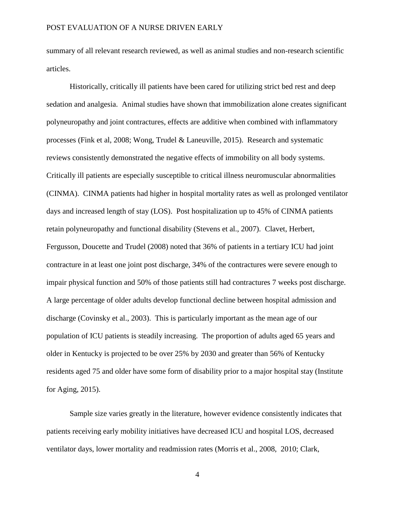summary of all relevant research reviewed, as well as animal studies and non-research scientific articles.

Historically, critically ill patients have been cared for utilizing strict bed rest and deep sedation and analgesia. Animal studies have shown that immobilization alone creates significant polyneuropathy and joint contractures, effects are additive when combined with inflammatory processes (Fink et al, 2008; Wong, Trudel & Laneuville, 2015). Research and systematic reviews consistently demonstrated the negative effects of immobility on all body systems. Critically ill patients are especially susceptible to critical illness neuromuscular abnormalities (CINMA). CINMA patients had higher in hospital mortality rates as well as prolonged ventilator days and increased length of stay (LOS). Post hospitalization up to 45% of CINMA patients retain polyneuropathy and functional disability (Stevens et al., 2007). Clavet, Herbert, Fergusson, Doucette and Trudel (2008) noted that 36% of patients in a tertiary ICU had joint contracture in at least one joint post discharge, 34% of the contractures were severe enough to impair physical function and 50% of those patients still had contractures 7 weeks post discharge. A large percentage of older adults develop functional decline between hospital admission and discharge (Covinsky et al., 2003). This is particularly important as the mean age of our population of ICU patients is steadily increasing. The proportion of adults aged 65 years and older in Kentucky is projected to be over 25% by 2030 and greater than 56% of Kentucky residents aged 75 and older have some form of disability prior to a major hospital stay (Institute for Aging, 2015).

Sample size varies greatly in the literature, however evidence consistently indicates that patients receiving early mobility initiatives have decreased ICU and hospital LOS, decreased ventilator days, lower mortality and readmission rates (Morris et al., 2008, 2010; Clark,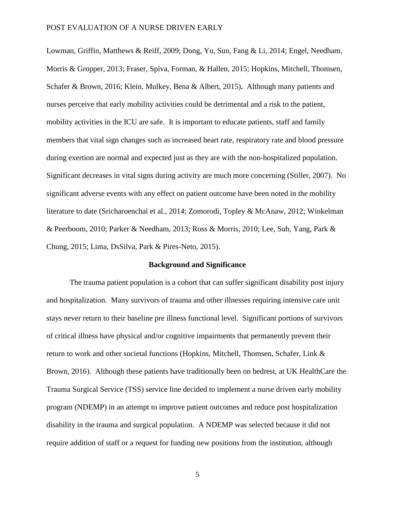Lowman, Griffin, Matthews & Reiff, 2009; Dong, Yu, Sun, Fang & Li, 2014; Engel, Needham, Morris & Gropper, 2013; Fraser, Spiva, Forman, & Hallen, 2015; Hopkins, Mitchell, Thomsen, Schafer & Brown, 2016; Klein, Mulkey, Bena & Albert, 2015)**.** Although many patients and nurses perceive that early mobility activities could be detrimental and a risk to the patient, mobility activities in the ICU are safe. It is important to educate patients, staff and family members that vital sign changes such as increased heart rate, respiratory rate and blood pressure during exertion are normal and expected just as they are with the non-hospitalized population. Significant decreases in vital signs during activity are much more concerning (Stiller, 2007). No significant adverse events with any effect on patient outcome have been noted in the mobility literature to date (Sricharoenchai et al., 2014; Zomorodi, Topley & McAnaw, 2012; Winkelman & Peerboom, 2010; Parker & Needham, 2013; Ross & Morris, 2010; Lee, Suh, Yang, Park & Chung, 2015; Lima, DsSilva, Park & Pires-Neto, 2015).

### **Background and Significance**

The trauma patient population is a cohort that can suffer significant disability post injury and hospitalization. Many survivors of trauma and other illnesses requiring intensive care unit stays never return to their baseline pre illness functional level. Significant portions of survivors of critical illness have physical and/or cognitive impairments that permanently prevent their return to work and other societal functions (Hopkins, Mitchell, Thomsen, Schafer, Link & Brown, 2016). Although these patients have traditionally been on bedrest, at UK HealthCare the Trauma Surgical Service (TSS) service line decided to implement a nurse driven early mobility program (NDEMP) in an attempt to improve patient outcomes and reduce post hospitalization disability in the trauma and surgical population. A NDEMP was selected because it did not require addition of staff or a request for funding new positions from the institution, although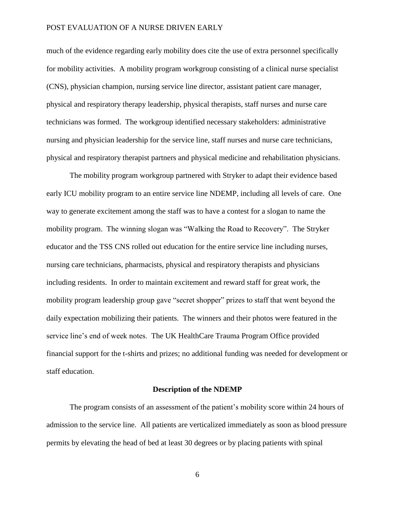much of the evidence regarding early mobility does cite the use of extra personnel specifically for mobility activities. A mobility program workgroup consisting of a clinical nurse specialist (CNS), physician champion, nursing service line director, assistant patient care manager, physical and respiratory therapy leadership, physical therapists, staff nurses and nurse care technicians was formed. The workgroup identified necessary stakeholders: administrative nursing and physician leadership for the service line, staff nurses and nurse care technicians, physical and respiratory therapist partners and physical medicine and rehabilitation physicians.

The mobility program workgroup partnered with Stryker to adapt their evidence based early ICU mobility program to an entire service line NDEMP, including all levels of care. One way to generate excitement among the staff was to have a contest for a slogan to name the mobility program. The winning slogan was "Walking the Road to Recovery". The Stryker educator and the TSS CNS rolled out education for the entire service line including nurses, nursing care technicians, pharmacists, physical and respiratory therapists and physicians including residents. In order to maintain excitement and reward staff for great work, the mobility program leadership group gave "secret shopper" prizes to staff that went beyond the daily expectation mobilizing their patients. The winners and their photos were featured in the service line's end of week notes. The UK HealthCare Trauma Program Office provided financial support for the t-shirts and prizes; no additional funding was needed for development or staff education.

### **Description of the NDEMP**

The program consists of an assessment of the patient's mobility score within 24 hours of admission to the service line. All patients are verticalized immediately as soon as blood pressure permits by elevating the head of bed at least 30 degrees or by placing patients with spinal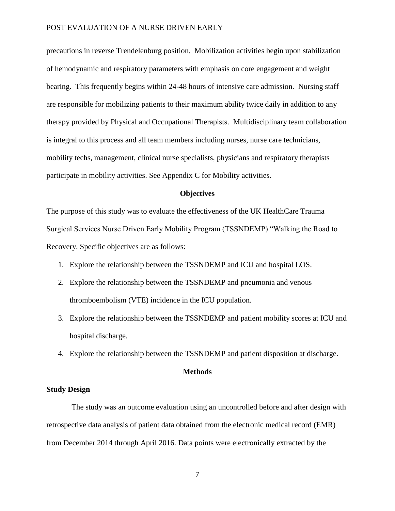precautions in reverse Trendelenburg position. Mobilization activities begin upon stabilization of hemodynamic and respiratory parameters with emphasis on core engagement and weight bearing. This frequently begins within 24-48 hours of intensive care admission. Nursing staff are responsible for mobilizing patients to their maximum ability twice daily in addition to any therapy provided by Physical and Occupational Therapists. Multidisciplinary team collaboration is integral to this process and all team members including nurses, nurse care technicians, mobility techs, management, clinical nurse specialists, physicians and respiratory therapists participate in mobility activities. See Appendix C for Mobility activities.

### **Objectives**

The purpose of this study was to evaluate the effectiveness of the UK HealthCare Trauma Surgical Services Nurse Driven Early Mobility Program (TSSNDEMP) "Walking the Road to Recovery. Specific objectives are as follows:

- 1. Explore the relationship between the TSSNDEMP and ICU and hospital LOS.
- 2. Explore the relationship between the TSSNDEMP and pneumonia and venous thromboembolism (VTE) incidence in the ICU population.
- 3. Explore the relationship between the TSSNDEMP and patient mobility scores at ICU and hospital discharge.
- 4. Explore the relationship between the TSSNDEMP and patient disposition at discharge.

### **Methods**

### **Study Design**

The study was an outcome evaluation using an uncontrolled before and after design with retrospective data analysis of patient data obtained from the electronic medical record (EMR) from December 2014 through April 2016. Data points were electronically extracted by the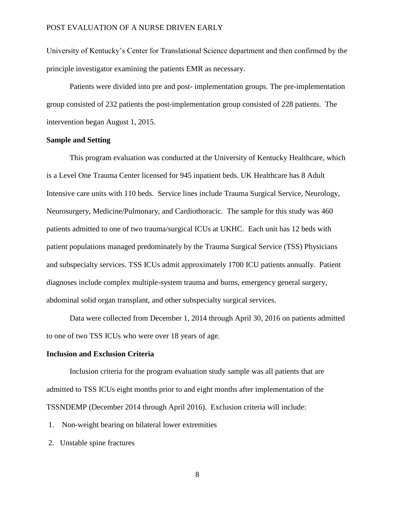University of Kentucky's Center for Translational Science department and then confirmed by the principle investigator examining the patients EMR as necessary.

Patients were divided into pre and post- implementation groups. The pre-implementation group consisted of 232 patients the post-implementation group consisted of 228 patients. The intervention began August 1, 2015.

### **Sample and Setting**

This program evaluation was conducted at the University of Kentucky Healthcare, which is a Level One Trauma Center licensed for 945 inpatient beds. UK Healthcare has 8 Adult Intensive care units with 110 beds. Service lines include Trauma Surgical Service, Neurology, Neurosurgery, Medicine/Pulmonary, and Cardiothoracic. The sample for this study was 460 patients admitted to one of two trauma/surgical ICUs at UKHC. Each unit has 12 beds with patient populations managed predominately by the Trauma Surgical Service (TSS) Physicians and subspecialty services. TSS ICUs admit approximately 1700 ICU patients annually. Patient diagnoses include complex multiple-system trauma and burns, emergency general surgery, abdominal solid organ transplant, and other subspecialty surgical services.

Data were collected from December 1, 2014 through April 30, 2016 on patients admitted to one of two TSS ICUs who were over 18 years of age.

### **Inclusion and Exclusion Criteria**

Inclusion criteria for the program evaluation study sample was all patients that are admitted to TSS ICUs eight months prior to and eight months after implementation of the TSSNDEMP (December 2014 through April 2016). Exclusion criteria will include:

1. Non-weight bearing on bilateral lower extremities

2. Unstable spine fractures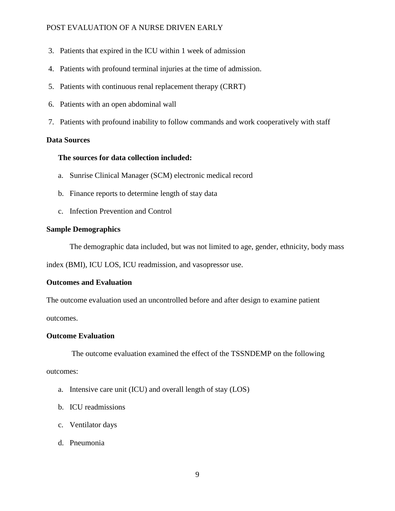- 3. Patients that expired in the ICU within 1 week of admission
- 4. Patients with profound terminal injuries at the time of admission.
- 5. Patients with continuous renal replacement therapy (CRRT)
- 6. Patients with an open abdominal wall
- 7. Patients with profound inability to follow commands and work cooperatively with staff

## **Data Sources**

## **The sources for data collection included:**

- a. Sunrise Clinical Manager (SCM) electronic medical record
- b. Finance reports to determine length of stay data
- c. Infection Prevention and Control

## **Sample Demographics**

The demographic data included, but was not limited to age, gender, ethnicity, body mass

index (BMI), ICU LOS, ICU readmission, and vasopressor use.

## **Outcomes and Evaluation**

The outcome evaluation used an uncontrolled before and after design to examine patient outcomes.

## **Outcome Evaluation**

The outcome evaluation examined the effect of the TSSNDEMP on the following

outcomes:

- a. Intensive care unit (ICU) and overall length of stay (LOS)
- b. ICU readmissions
- c. Ventilator days
- d. Pneumonia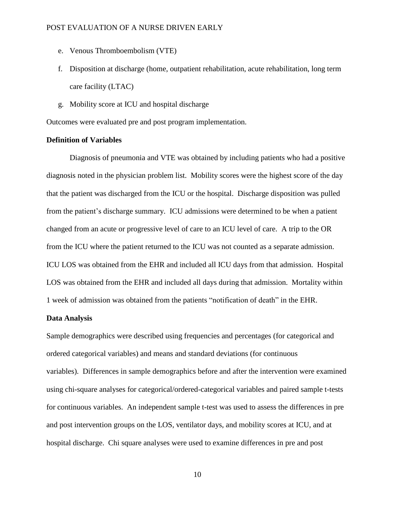- e. Venous Thromboembolism (VTE)
- f. Disposition at discharge (home, outpatient rehabilitation, acute rehabilitation, long term care facility (LTAC)
- g. Mobility score at ICU and hospital discharge

Outcomes were evaluated pre and post program implementation.

### **Definition of Variables**

Diagnosis of pneumonia and VTE was obtained by including patients who had a positive diagnosis noted in the physician problem list. Mobility scores were the highest score of the day that the patient was discharged from the ICU or the hospital. Discharge disposition was pulled from the patient's discharge summary. ICU admissions were determined to be when a patient changed from an acute or progressive level of care to an ICU level of care. A trip to the OR from the ICU where the patient returned to the ICU was not counted as a separate admission. ICU LOS was obtained from the EHR and included all ICU days from that admission. Hospital LOS was obtained from the EHR and included all days during that admission. Mortality within 1 week of admission was obtained from the patients "notification of death" in the EHR.

### **Data Analysis**

Sample demographics were described using frequencies and percentages (for categorical and ordered categorical variables) and means and standard deviations (for continuous variables). Differences in sample demographics before and after the intervention were examined using chi-square analyses for categorical/ordered-categorical variables and paired sample t-tests for continuous variables. An independent sample t-test was used to assess the differences in pre and post intervention groups on the LOS, ventilator days, and mobility scores at ICU, and at hospital discharge. Chi square analyses were used to examine differences in pre and post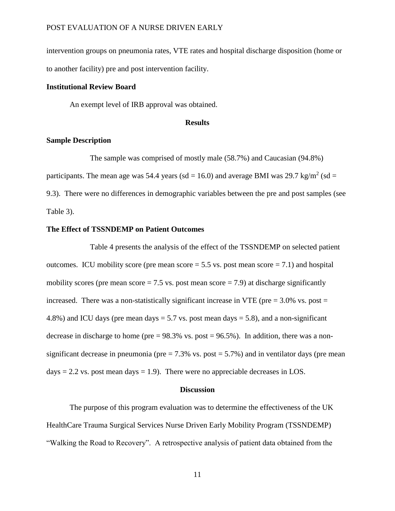intervention groups on pneumonia rates, VTE rates and hospital discharge disposition (home or to another facility) pre and post intervention facility.

### **Institutional Review Board**

An exempt level of IRB approval was obtained.

### **Results**

### **Sample Description**

The sample was comprised of mostly male (58.7%) and Caucasian (94.8%) participants. The mean age was 54.4 years (sd = 16.0) and average BMI was 29.7 kg/m<sup>2</sup> (sd = 9.3). There were no differences in demographic variables between the pre and post samples (see Table 3).

### **The Effect of TSSNDEMP on Patient Outcomes**

Table 4 presents the analysis of the effect of the TSSNDEMP on selected patient outcomes. ICU mobility score (pre mean score  $= 5.5$  vs. post mean score  $= 7.1$ ) and hospital mobility scores (pre mean score  $= 7.5$  vs. post mean score  $= 7.9$ ) at discharge significantly increased. There was a non-statistically significant increase in VTE ( $pre = 3.0\%$  vs.  $post =$ 4.8%) and ICU days (pre mean days  $= 5.7$  vs. post mean days  $= 5.8$ ), and a non-significant decrease in discharge to home (pre  $= 98.3\%$  vs. post  $= 96.5\%$ ). In addition, there was a nonsignificant decrease in pneumonia (pre  $= 7.3\%$  vs. post  $= 5.7\%$ ) and in ventilator days (pre mean days  $= 2.2$  vs. post mean days  $= 1.9$ ). There were no appreciable decreases in LOS.

### **Discussion**

The purpose of this program evaluation was to determine the effectiveness of the UK HealthCare Trauma Surgical Services Nurse Driven Early Mobility Program (TSSNDEMP) "Walking the Road to Recovery". A retrospective analysis of patient data obtained from the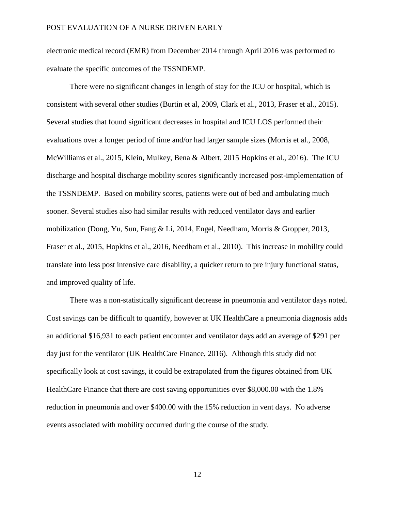electronic medical record (EMR) from December 2014 through April 2016 was performed to evaluate the specific outcomes of the TSSNDEMP.

There were no significant changes in length of stay for the ICU or hospital, which is consistent with several other studies (Burtin et al, 2009, Clark et al., 2013, Fraser et al., 2015). Several studies that found significant decreases in hospital and ICU LOS performed their evaluations over a longer period of time and/or had larger sample sizes (Morris et al., 2008, McWilliams et al., 2015, Klein, Mulkey, Bena & Albert, 2015 Hopkins et al., 2016). The ICU discharge and hospital discharge mobility scores significantly increased post-implementation of the TSSNDEMP. Based on mobility scores, patients were out of bed and ambulating much sooner. Several studies also had similar results with reduced ventilator days and earlier mobilization (Dong, Yu, Sun, Fang & Li, 2014, Engel, Needham, Morris & Gropper, 2013, Fraser et al., 2015, Hopkins et al., 2016, Needham et al., 2010). This increase in mobility could translate into less post intensive care disability, a quicker return to pre injury functional status, and improved quality of life.

There was a non-statistically significant decrease in pneumonia and ventilator days noted. Cost savings can be difficult to quantify, however at UK HealthCare a pneumonia diagnosis adds an additional \$16,931 to each patient encounter and ventilator days add an average of \$291 per day just for the ventilator (UK HealthCare Finance, 2016). Although this study did not specifically look at cost savings, it could be extrapolated from the figures obtained from UK HealthCare Finance that there are cost saving opportunities over \$8,000.00 with the 1.8% reduction in pneumonia and over \$400.00 with the 15% reduction in vent days. No adverse events associated with mobility occurred during the course of the study.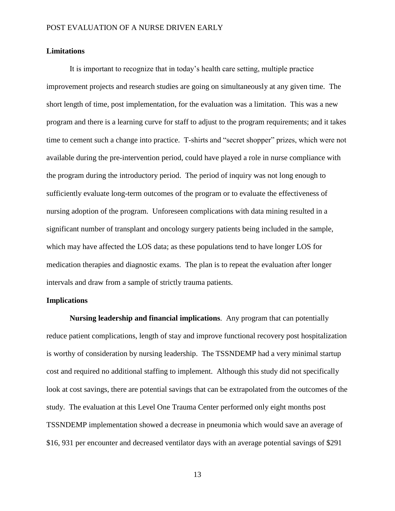### **Limitations**

It is important to recognize that in today's health care setting, multiple practice improvement projects and research studies are going on simultaneously at any given time. The short length of time, post implementation, for the evaluation was a limitation. This was a new program and there is a learning curve for staff to adjust to the program requirements; and it takes time to cement such a change into practice. T-shirts and "secret shopper" prizes, which were not available during the pre-intervention period, could have played a role in nurse compliance with the program during the introductory period. The period of inquiry was not long enough to sufficiently evaluate long-term outcomes of the program or to evaluate the effectiveness of nursing adoption of the program. Unforeseen complications with data mining resulted in a significant number of transplant and oncology surgery patients being included in the sample, which may have affected the LOS data; as these populations tend to have longer LOS for medication therapies and diagnostic exams. The plan is to repeat the evaluation after longer intervals and draw from a sample of strictly trauma patients.

### **Implications**

**Nursing leadership and financial implications**. Any program that can potentially reduce patient complications, length of stay and improve functional recovery post hospitalization is worthy of consideration by nursing leadership. The TSSNDEMP had a very minimal startup cost and required no additional staffing to implement. Although this study did not specifically look at cost savings, there are potential savings that can be extrapolated from the outcomes of the study. The evaluation at this Level One Trauma Center performed only eight months post TSSNDEMP implementation showed a decrease in pneumonia which would save an average of \$16, 931 per encounter and decreased ventilator days with an average potential savings of \$291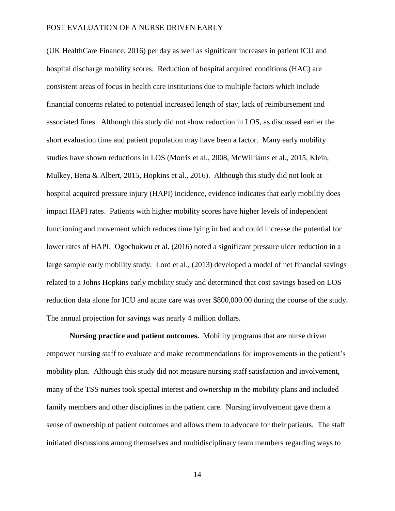(UK HealthCare Finance, 2016) per day as well as significant increases in patient ICU and hospital discharge mobility scores. Reduction of hospital acquired conditions (HAC) are consistent areas of focus in health care institutions due to multiple factors which include financial concerns related to potential increased length of stay, lack of reimbursement and associated fines. Although this study did not show reduction in LOS, as discussed earlier the short evaluation time and patient population may have been a factor. Many early mobility studies have shown reductions in LOS (Morris et al., 2008, McWilliams et al., 2015, Klein, Mulkey, Bena & Albert, 2015, Hopkins et al., 2016). Although this study did not look at hospital acquired pressure injury (HAPI) incidence, evidence indicates that early mobility does impact HAPI rates. Patients with higher mobility scores have higher levels of independent functioning and movement which reduces time lying in bed and could increase the potential for lower rates of HAPI. Ogochukwu et al. (2016) noted a significant pressure ulcer reduction in a large sample early mobility study. Lord et al., (2013) developed a model of net financial savings related to a Johns Hopkins early mobility study and determined that cost savings based on LOS reduction data alone for ICU and acute care was over \$800,000.00 during the course of the study. The annual projection for savings was nearly 4 million dollars.

**Nursing practice and patient outcomes.** Mobility programs that are nurse driven empower nursing staff to evaluate and make recommendations for improvements in the patient's mobility plan. Although this study did not measure nursing staff satisfaction and involvement, many of the TSS nurses took special interest and ownership in the mobility plans and included family members and other disciplines in the patient care. Nursing involvement gave them a sense of ownership of patient outcomes and allows them to advocate for their patients. The staff initiated discussions among themselves and multidisciplinary team members regarding ways to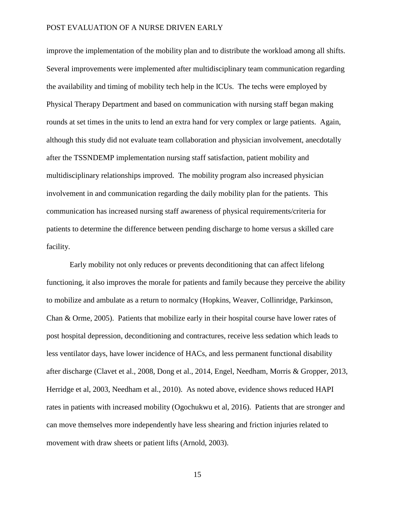improve the implementation of the mobility plan and to distribute the workload among all shifts. Several improvements were implemented after multidisciplinary team communication regarding the availability and timing of mobility tech help in the ICUs. The techs were employed by Physical Therapy Department and based on communication with nursing staff began making rounds at set times in the units to lend an extra hand for very complex or large patients. Again, although this study did not evaluate team collaboration and physician involvement, anecdotally after the TSSNDEMP implementation nursing staff satisfaction, patient mobility and multidisciplinary relationships improved. The mobility program also increased physician involvement in and communication regarding the daily mobility plan for the patients. This communication has increased nursing staff awareness of physical requirements/criteria for patients to determine the difference between pending discharge to home versus a skilled care facility.

Early mobility not only reduces or prevents deconditioning that can affect lifelong functioning, it also improves the morale for patients and family because they perceive the ability to mobilize and ambulate as a return to normalcy (Hopkins, Weaver, Collinridge, Parkinson, Chan & Orme, 2005). Patients that mobilize early in their hospital course have lower rates of post hospital depression, deconditioning and contractures, receive less sedation which leads to less ventilator days, have lower incidence of HACs, and less permanent functional disability after discharge (Clavet et al., 2008, Dong et al., 2014, Engel, Needham, Morris & Gropper, 2013, Herridge et al, 2003, Needham et al., 2010). As noted above, evidence shows reduced HAPI rates in patients with increased mobility (Ogochukwu et al, 2016). Patients that are stronger and can move themselves more independently have less shearing and friction injuries related to movement with draw sheets or patient lifts (Arnold, 2003).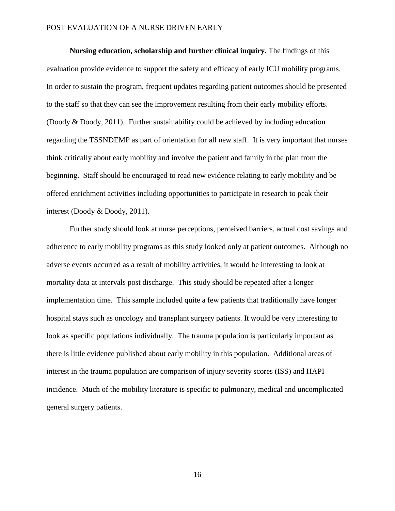**Nursing education, scholarship and further clinical inquiry.** The findings of this evaluation provide evidence to support the safety and efficacy of early ICU mobility programs. In order to sustain the program, frequent updates regarding patient outcomes should be presented to the staff so that they can see the improvement resulting from their early mobility efforts. (Doody & Doody, 2011). Further sustainability could be achieved by including education regarding the TSSNDEMP as part of orientation for all new staff. It is very important that nurses think critically about early mobility and involve the patient and family in the plan from the beginning. Staff should be encouraged to read new evidence relating to early mobility and be offered enrichment activities including opportunities to participate in research to peak their interest (Doody & Doody, 2011).

Further study should look at nurse perceptions, perceived barriers, actual cost savings and adherence to early mobility programs as this study looked only at patient outcomes. Although no adverse events occurred as a result of mobility activities, it would be interesting to look at mortality data at intervals post discharge. This study should be repeated after a longer implementation time. This sample included quite a few patients that traditionally have longer hospital stays such as oncology and transplant surgery patients. It would be very interesting to look as specific populations individually. The trauma population is particularly important as there is little evidence published about early mobility in this population. Additional areas of interest in the trauma population are comparison of injury severity scores (ISS) and HAPI incidence. Much of the mobility literature is specific to pulmonary, medical and uncomplicated general surgery patients.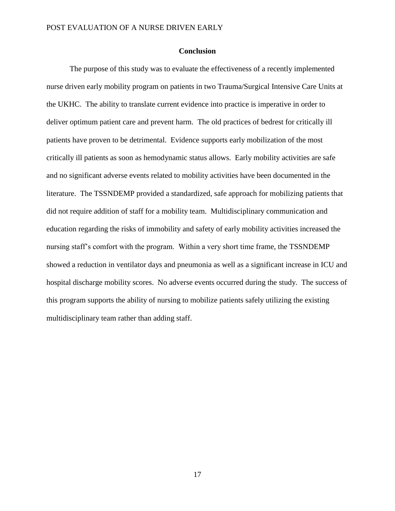### **Conclusion**

The purpose of this study was to evaluate the effectiveness of a recently implemented nurse driven early mobility program on patients in two Trauma/Surgical Intensive Care Units at the UKHC. The ability to translate current evidence into practice is imperative in order to deliver optimum patient care and prevent harm. The old practices of bedrest for critically ill patients have proven to be detrimental. Evidence supports early mobilization of the most critically ill patients as soon as hemodynamic status allows. Early mobility activities are safe and no significant adverse events related to mobility activities have been documented in the literature. The TSSNDEMP provided a standardized, safe approach for mobilizing patients that did not require addition of staff for a mobility team. Multidisciplinary communication and education regarding the risks of immobility and safety of early mobility activities increased the nursing staff's comfort with the program. Within a very short time frame, the TSSNDEMP showed a reduction in ventilator days and pneumonia as well as a significant increase in ICU and hospital discharge mobility scores. No adverse events occurred during the study. The success of this program supports the ability of nursing to mobilize patients safely utilizing the existing multidisciplinary team rather than adding staff.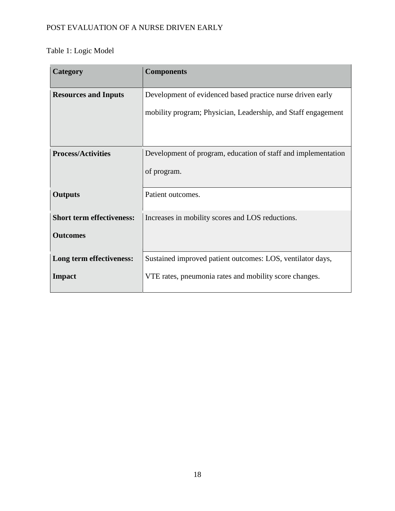# Table 1: Logic Model

| <b>Category</b>                  | <b>Components</b>                                             |
|----------------------------------|---------------------------------------------------------------|
| <b>Resources and Inputs</b>      | Development of evidenced based practice nurse driven early    |
|                                  | mobility program; Physician, Leadership, and Staff engagement |
|                                  |                                                               |
| <b>Process/Activities</b>        | Development of program, education of staff and implementation |
|                                  | of program.                                                   |
| <b>Outputs</b>                   | Patient outcomes.                                             |
| <b>Short term effectiveness:</b> | Increases in mobility scores and LOS reductions.              |
| <b>Outcomes</b>                  |                                                               |
| Long term effectiveness:         | Sustained improved patient outcomes: LOS, ventilator days,    |
| <b>Impact</b>                    | VTE rates, pneumonia rates and mobility score changes.        |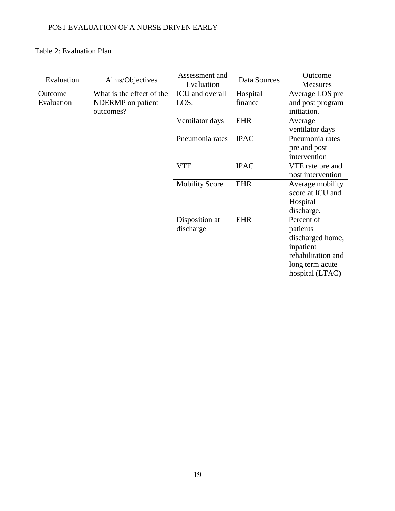## Table 2: Evaluation Plan

| Evaluation |                           | Assessment and        | Data Sources | Outcome            |
|------------|---------------------------|-----------------------|--------------|--------------------|
|            | Aims/Objectives           | Evaluation            |              | Measures           |
| Outcome    | What is the effect of the | ICU and overall       | Hospital     | Average LOS pre    |
| Evaluation | NDERMP on patient         | LOS.                  | finance      | and post program   |
|            | outcomes?                 |                       |              | initiation.        |
|            |                           | Ventilator days       | <b>EHR</b>   | Average            |
|            |                           |                       |              | ventilator days    |
|            |                           | Pneumonia rates       | <b>IPAC</b>  | Pneumonia rates    |
|            |                           |                       |              | pre and post       |
|            |                           |                       |              | intervention       |
|            |                           | <b>VTE</b>            | <b>IPAC</b>  | VTE rate pre and   |
|            |                           |                       |              | post intervention  |
|            |                           | <b>Mobility Score</b> | <b>EHR</b>   | Average mobility   |
|            |                           |                       |              | score at ICU and   |
|            |                           |                       |              | Hospital           |
|            |                           |                       |              | discharge.         |
|            |                           | Disposition at        | <b>EHR</b>   | Percent of         |
|            |                           | discharge             |              | patients           |
|            |                           |                       |              | discharged home,   |
|            |                           |                       |              | inpatient          |
|            |                           |                       |              | rehabilitation and |
|            |                           |                       |              | long term acute    |
|            |                           |                       |              | hospital (LTAC)    |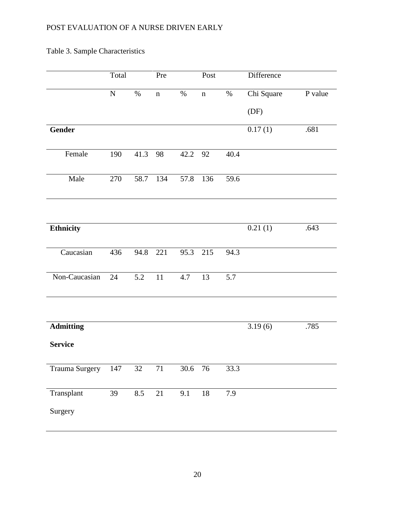Table 3. Sample Characteristics

|                  | Total     |                  | Pre         |          | Post        |      | Difference |         |
|------------------|-----------|------------------|-------------|----------|-------------|------|------------|---------|
|                  | ${\bf N}$ | $\%$             | $\mathbf n$ | $\%$     | $\mathbf n$ | $\%$ | Chi Square | P value |
|                  |           |                  |             |          |             |      | (DF)       |         |
| Gender           |           |                  |             |          |             |      | 0.17(1)    | .681    |
| Female           | 190       | 41.3             | 98          | 42.2     | 92          | 40.4 |            |         |
| Male             | 270       | 58.7 134         |             | 57.8 136 |             | 59.6 |            |         |
|                  |           |                  |             |          |             |      |            |         |
| Ethnicity        |           |                  |             |          |             |      | 0.21(1)    | .643    |
| Caucasian        | 436       | 94.8 221         |             | 95.3     | 215         | 94.3 |            |         |
| Non-Caucasian    | 24        | $\overline{5.2}$ | $11\,$      | 4.7      | 13          | 5.7  |            |         |
|                  |           |                  |             |          |             |      |            |         |
| <b>Admitting</b> |           |                  |             |          |             |      | 3.19(6)    | .785    |
| <b>Service</b>   |           |                  |             |          |             |      |            |         |
| Trauma Surgery   | 147       | $\overline{32}$  | 71          | 30.6 76  |             | 33.3 |            |         |
| Transplant       | 39        | 8.5              | 21          | 9.1      | 18          | 7.9  |            |         |
| Surgery          |           |                  |             |          |             |      |            |         |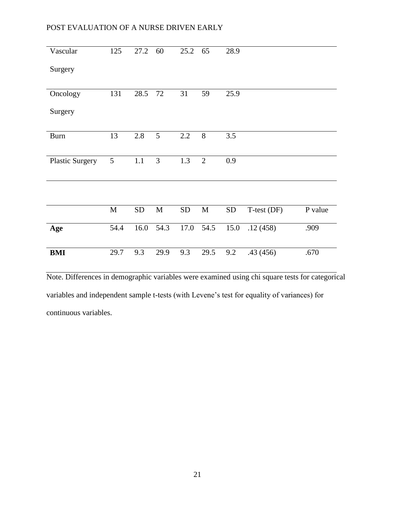| Vascular               | 125         | 27.2      | 60              | 25.2       | 65             | 28.9       |             |         |
|------------------------|-------------|-----------|-----------------|------------|----------------|------------|-------------|---------|
| Surgery                |             |           |                 |            |                |            |             |         |
|                        |             |           |                 |            |                |            |             |         |
| Oncology               | 131         | 28.5      | 72              | 31         | 59             | 25.9       |             |         |
| Surgery                |             |           |                 |            |                |            |             |         |
| <b>Burn</b>            | 13          | 2.8       | $5\overline{)}$ | 2.2        | 8              | 3.5        |             |         |
|                        |             |           |                 |            |                |            |             |         |
|                        |             |           |                 |            |                |            |             |         |
| <b>Plastic Surgery</b> | 5           | 1.1       | 3               | 1.3        | $\overline{2}$ | 0.9        |             |         |
|                        |             |           |                 |            |                |            |             |         |
|                        |             |           |                 |            |                |            |             |         |
|                        |             |           |                 |            |                |            |             |         |
|                        | $\mathbf M$ | <b>SD</b> | $\mathbf M$     | ${\rm SD}$ | M              | ${\rm SD}$ | T-test (DF) | P value |
| Age                    | 54.4        | 16.0      | 54.3            | 17.0       | 54.5           | 15.0       | .12(458)    | .909    |
|                        |             |           |                 |            |                |            |             |         |
| <b>BMI</b>             | 29.7        | 9.3       | 29.9            | 9.3        | 29.5           | 9.2        | .43(456)    | .670    |

Note. Differences in demographic variables were examined using chi square tests for categorical variables and independent sample t-tests (with Levene's test for equality of variances) for continuous variables.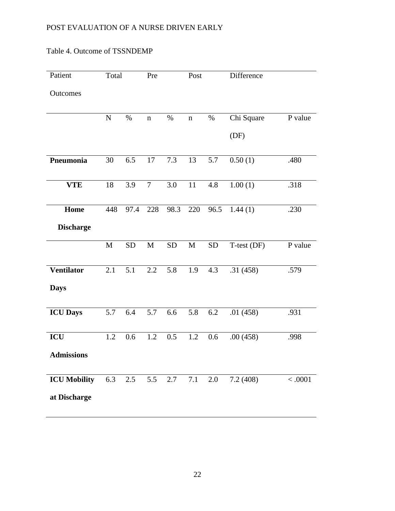| Patient             | Total       |           | Pre         |                  | Post        |           | Difference  |         |
|---------------------|-------------|-----------|-------------|------------------|-------------|-----------|-------------|---------|
| Outcomes            |             |           |             |                  |             |           |             |         |
|                     | ${\bf N}$   | $\%$      | $\mathbf n$ | $\%$             | $\mathbf n$ | $\%$      | Chi Square  | P value |
|                     |             |           |             |                  |             |           | (DF)        |         |
| Pneumonia           | 30          | 6.5       | 17          | 7.3              | 13          | 5.7       | 0.50(1)     | .480    |
| <b>VTE</b>          | $18\,$      | 3.9       | $\tau$      | $\overline{3.0}$ | $11\,$      | 4.8       | 1.00(1)     | .318    |
| Home                | 448         | 97.4      | 228         | 98.3             | 220         | 96.5      | 1.44(1)     | .230    |
| <b>Discharge</b>    |             |           |             |                  |             |           |             |         |
|                     | $\mathbf M$ | <b>SD</b> | $\mathbf M$ | <b>SD</b>        | $\mathbf M$ | <b>SD</b> | T-test (DF) | P value |
| <b>Ventilator</b>   | 2.1         | 5.1       | 2.2         | 5.8              | 1.9         | 4.3       | .31(458)    | .579    |
| <b>Days</b>         |             |           |             |                  |             |           |             |         |
| <b>ICU Days</b>     | 5.7         | 6.4       | 5.7         | 6.6              | 5.8         | 6.2       | .01(458)    | .931    |
| ICU                 | 1.2         | 0.6       | 1.2         | $0.5\,$          | 1.2         | 0.6       | .00(458)    | .998    |
| <b>Admissions</b>   |             |           |             |                  |             |           |             |         |
| <b>ICU Mobility</b> | 6.3         | 2.5       | 5.5         | 2.7              | 7.1         | 2.0       | 7.2(408)    | < .0001 |
| at Discharge        |             |           |             |                  |             |           |             |         |

## Table 4. Outcome of TSSNDEMP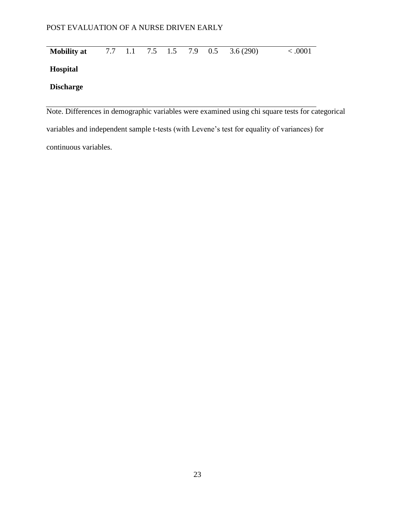| <b>Mobility at</b> |  |  |  | 7.7 1.1 7.5 1.5 7.9 0.5 3.6 (290) | < .0001 |
|--------------------|--|--|--|-----------------------------------|---------|
| <b>Hospital</b>    |  |  |  |                                   |         |
| <b>Discharge</b>   |  |  |  |                                   |         |
|                    |  |  |  |                                   |         |

Note. Differences in demographic variables were examined using chi square tests for categorical variables and independent sample t-tests (with Levene's test for equality of variances) for continuous variables.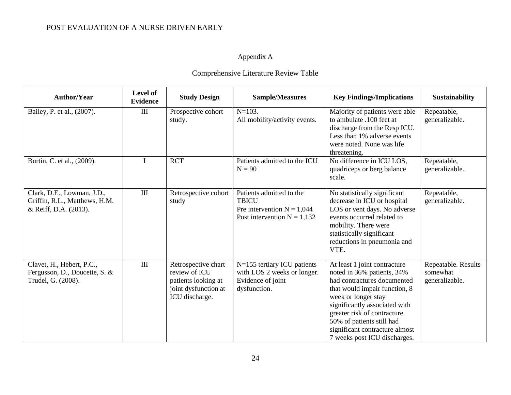# Appendix A

# Comprehensive Literature Review Table

| <b>Author/Year</b>                                                                   | Level of<br><b>Evidence</b> | <b>Study Design</b>                                                                                   | <b>Sample/Measures</b>                                                                                    | <b>Key Findings/Implications</b>                                                                                                                                                                                                                                                                                  | <b>Sustainability</b>                             |
|--------------------------------------------------------------------------------------|-----------------------------|-------------------------------------------------------------------------------------------------------|-----------------------------------------------------------------------------------------------------------|-------------------------------------------------------------------------------------------------------------------------------------------------------------------------------------------------------------------------------------------------------------------------------------------------------------------|---------------------------------------------------|
| Bailey, P. et al., (2007).                                                           | $\mathop{\rm III}$          | Prospective cohort<br>study.                                                                          | $N = 103$ .<br>All mobility/activity events.                                                              | Majority of patients were able<br>to ambulate .100 feet at<br>discharge from the Resp ICU.<br>Less than 1% adverse events<br>were noted. None was life<br>threatening.                                                                                                                                            | Repeatable,<br>generalizable.                     |
| Burtin, C. et al., (2009).                                                           | $\mathbf I$                 | <b>RCT</b>                                                                                            | Patients admitted to the ICU<br>$N = 90$                                                                  | No difference in ICU LOS,<br>quadriceps or berg balance<br>scale.                                                                                                                                                                                                                                                 | Repeatable,<br>generalizable.                     |
| Clark, D.E., Lowman, J.D.,<br>Griffin, R.L., Matthews, H.M.<br>& Reiff, D.A. (2013). | III                         | Retrospective cohort<br>study                                                                         | Patients admitted to the<br><b>TBICU</b><br>Pre intervention $N = 1,044$<br>Post intervention $N = 1,132$ | No statistically significant<br>decrease in ICU or hospital<br>LOS or vent days. No adverse<br>events occurred related to<br>mobility. There were<br>statistically significant<br>reductions in pneumonia and<br>VTE.                                                                                             | Repeatable,<br>generalizable.                     |
| Clavet, H., Hebert, P.C.,<br>Fergusson, D., Doucette, S. &<br>Trudel, G. (2008).     | III                         | Retrospective chart<br>review of ICU<br>patients looking at<br>joint dysfunction at<br>ICU discharge. | N=155 tertiary ICU patients<br>with LOS 2 weeks or longer.<br>Evidence of joint<br>dysfunction.           | At least 1 joint contracture<br>noted in 36% patients, 34%<br>had contractures documented<br>that would impair function, 8<br>week or longer stay<br>significantly associated with<br>greater risk of contracture.<br>50% of patients still had<br>significant contracture almost<br>7 weeks post ICU discharges. | Repeatable. Results<br>somewhat<br>generalizable. |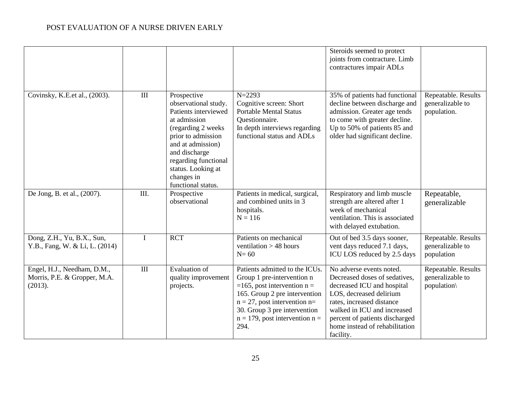|                                                                        |             |                                                                                                                                                                                                                                                  |                                                                                                                                                                                                                                                     | Steroids seemed to protect<br>joints from contracture. Limb<br>contractures impair ADLs                                                                                                                                                                         |                                                        |
|------------------------------------------------------------------------|-------------|--------------------------------------------------------------------------------------------------------------------------------------------------------------------------------------------------------------------------------------------------|-----------------------------------------------------------------------------------------------------------------------------------------------------------------------------------------------------------------------------------------------------|-----------------------------------------------------------------------------------------------------------------------------------------------------------------------------------------------------------------------------------------------------------------|--------------------------------------------------------|
| Covinsky, K.E.et al., (2003).                                          | III         | Prospective<br>observational study.<br>Patients interviewed<br>at admission<br>(regarding 2 weeks)<br>prior to admission<br>and at admission)<br>and discharge<br>regarding functional<br>status. Looking at<br>changes in<br>functional status. | $N = 2293$<br>Cognitive screen: Short<br><b>Portable Mental Status</b><br>Questionnaire.<br>In depth interviews regarding<br>functional status and ADLs                                                                                             | 35% of patients had functional<br>decline between discharge and<br>admission. Greater age tends<br>to come with greater decline.<br>Up to 50% of patients 85 and<br>older had significant decline.                                                              | Repeatable. Results<br>generalizable to<br>population. |
| De Jong, B. et al., (2007).                                            | III.        | Prospective<br>observational                                                                                                                                                                                                                     | Patients in medical, surgical,<br>and combined units in 3<br>hospitals.<br>$N = 116$                                                                                                                                                                | Respiratory and limb muscle<br>strength are altered after 1<br>week of mechanical<br>ventilation. This is associated<br>with delayed extubation.                                                                                                                | Repeatable,<br>generalizable                           |
| Dong, Z.H., Yu, B.X., Sun,<br>Y.B., Fang, W. & Li, L. (2014)           | $\mathbf I$ | <b>RCT</b>                                                                                                                                                                                                                                       | Patients on mechanical<br>ventilation $> 48$ hours<br>$N=60$                                                                                                                                                                                        | Out of bed 3.5 days sooner,<br>vent days reduced 7.1 days,<br>ICU LOS reduced by 2.5 days                                                                                                                                                                       | Repeatable. Results<br>generalizable to<br>population  |
| Engel, H.J., Needham, D.M.,<br>Morris, P.E. & Gropper, M.A.<br>(2013). | III         | <b>Evaluation of</b><br>quality improvement<br>projects.                                                                                                                                                                                         | Patients admitted to the ICUs.<br>Group 1 pre-intervention n<br>=165, post intervention $n =$<br>165. Group 2 pre intervention<br>$n = 27$ , post intervention $n =$<br>30. Group 3 pre intervention<br>$n = 179$ , post intervention $n =$<br>294. | No adverse events noted.<br>Decreased doses of sedatives,<br>decreased ICU and hospital<br>LOS, decreased delirium<br>rates, increased distance<br>walked in ICU and increased<br>percent of patients discharged<br>home instead of rehabilitation<br>facility. | Repeatable. Results<br>generalizable to<br>population\ |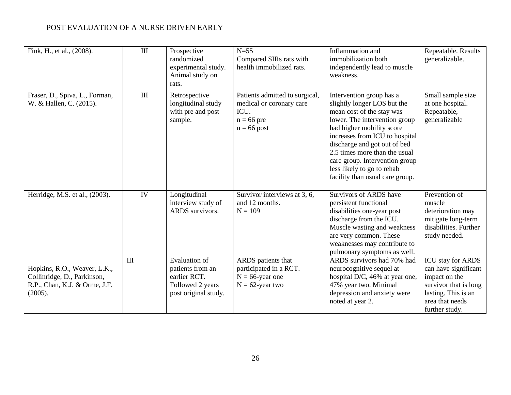| Fink, H., et al., (2008).                                                                               | $\rm III$ | Prospective<br>randomized<br>experimental study.<br>Animal study on<br>rats.                  | $N=55$<br>Compared SIRs rats with<br>health immobilized rats.                                       | Inflammation and<br>immobilization both<br>independently lead to muscle<br>weakness.                                                                                                                                                                                                                                                                     | Repeatable. Results<br>generalizable.                                                                                                                  |
|---------------------------------------------------------------------------------------------------------|-----------|-----------------------------------------------------------------------------------------------|-----------------------------------------------------------------------------------------------------|----------------------------------------------------------------------------------------------------------------------------------------------------------------------------------------------------------------------------------------------------------------------------------------------------------------------------------------------------------|--------------------------------------------------------------------------------------------------------------------------------------------------------|
| Fraser, D., Spiva, L., Forman,<br>W. & Hallen, C. (2015).                                               | $\rm III$ | Retrospective<br>longitudinal study<br>with pre and post<br>sample.                           | Patients admitted to surgical,<br>medical or coronary care<br>ICU.<br>$n = 66$ pre<br>$n = 66$ post | Intervention group has a<br>slightly longer LOS but the<br>mean cost of the stay was<br>lower. The intervention group<br>had higher mobility score<br>increases from ICU to hospital<br>discharge and got out of bed<br>2.5 times more than the usual<br>care group. Intervention group<br>less likely to go to rehab<br>facility than usual care group. | Small sample size<br>at one hospital.<br>Repeatable,<br>generalizable                                                                                  |
| Herridge, M.S. et al., (2003).                                                                          | IV        | Longitudinal<br>interview study of<br>ARDS survivors.                                         | Survivor interviews at 3, 6,<br>and 12 months.<br>$N = 109$                                         | Survivors of ARDS have<br>persistent functional<br>disabilities one-year post<br>discharge from the ICU.<br>Muscle wasting and weakness<br>are very common. These<br>weaknesses may contribute to<br>pulmonary symptoms as well.                                                                                                                         | Prevention of<br>muscle<br>deterioration may<br>mitigate long-term<br>disabilities. Further<br>study needed.                                           |
| Hopkins, R.O., Weaver, L.K.,<br>Collinridge, D., Parkinson,<br>R.P., Chan, K.J. & Orme, J.F.<br>(2005). | III       | Evaluation of<br>patients from an<br>earlier RCT.<br>Followed 2 years<br>post original study. | ARDS patients that<br>participated in a RCT.<br>$N = 66$ -year one<br>$N = 62$ -year two            | ARDS survivors had 70% had<br>neurocognitive sequel at<br>hospital D/C, 46% at year one,<br>47% year two. Minimal<br>depression and anxiety were<br>noted at year 2.                                                                                                                                                                                     | <b>ICU</b> stay for ARDS<br>can have significant<br>impact on the<br>survivor that is long<br>lasting. This is an<br>area that needs<br>further study. |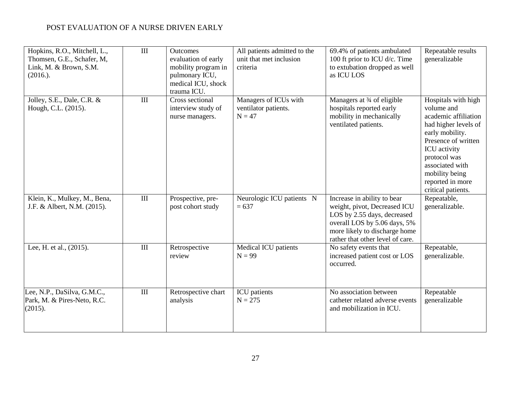| Hopkins, R.O., Mitchell, L.,<br>Thomsen, G.E., Schafer, M,<br>Link, M. & Brown, S.M.<br>$(2016.)$ . | $\rm III$        | <b>Outcomes</b><br>evaluation of early<br>mobility program in<br>pulmonary ICU,<br>medical ICU, shock<br>trauma ICU. | All patients admitted to the<br>unit that met inclusion<br>criteria | 69.4% of patients ambulated<br>100 ft prior to ICU d/c. Time<br>to extubation dropped as well<br>as ICU LOS                                                                                     | Repeatable results<br>generalizable                                                                                                                                                                                                        |
|-----------------------------------------------------------------------------------------------------|------------------|----------------------------------------------------------------------------------------------------------------------|---------------------------------------------------------------------|-------------------------------------------------------------------------------------------------------------------------------------------------------------------------------------------------|--------------------------------------------------------------------------------------------------------------------------------------------------------------------------------------------------------------------------------------------|
| Jolley, S.E., Dale, C.R. &<br>Hough, C.L. (2015).                                                   | III              | Cross sectional<br>interview study of<br>nurse managers.                                                             | Managers of ICUs with<br>ventilator patients.<br>$N = 47$           | Managers at 3/4 of eligible<br>hospitals reported early<br>mobility in mechanically<br>ventilated patients.                                                                                     | Hospitals with high<br>volume and<br>academic affiliation<br>had higher levels of<br>early mobility.<br>Presence of written<br>ICU activity<br>protocol was<br>associated with<br>mobility being<br>reported in more<br>critical patients. |
| Klein, K., Mulkey, M., Bena,<br>J.F. & Albert, N.M. (2015).                                         | $\rm III$        | Prospective, pre-<br>post cohort study                                                                               | Neurologic ICU patients N<br>$= 637$                                | Increase in ability to bear<br>weight, pivot, Decreased ICU<br>LOS by 2.55 days, decreased<br>overall LOS by 5.06 days, 5%<br>more likely to discharge home<br>rather that other level of care. | Repeatable,<br>generalizable.                                                                                                                                                                                                              |
| Lee, H. et al., (2015).                                                                             | $\overline{III}$ | Retrospective<br>review                                                                                              | Medical ICU patients<br>$N = 99$                                    | No safety events that<br>increased patient cost or LOS<br>occurred.                                                                                                                             | Repeatable,<br>generalizable.                                                                                                                                                                                                              |
| Lee, N.P., DaSilva, G.M.C.,<br>Park, M. & Pires-Neto, R.C.<br>(2015).                               | $\rm III$        | Retrospective chart<br>analysis                                                                                      | ICU patients<br>$N = 275$                                           | No association between<br>catheter related adverse events<br>and mobilization in ICU.                                                                                                           | Repeatable<br>generalizable                                                                                                                                                                                                                |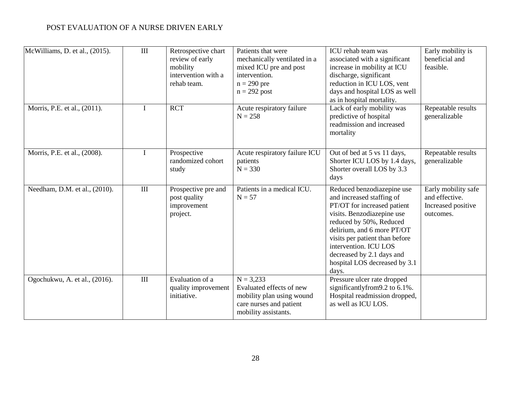| McWilliams, D. et al., (2015). | III         | Retrospective chart<br>review of early<br>mobility<br>intervention with a<br>rehab team. | Patients that were<br>mechanically ventilated in a<br>mixed ICU pre and post<br>intervention.<br>$n = 290$ pre<br>$n = 292$ post | ICU rehab team was<br>associated with a significant<br>increase in mobility at ICU<br>discharge, significant<br>reduction in ICU LOS, vent<br>days and hospital LOS as well<br>as in hospital mortality.                                                                                                        | Early mobility is<br>beneficial and<br>feasible.                         |
|--------------------------------|-------------|------------------------------------------------------------------------------------------|----------------------------------------------------------------------------------------------------------------------------------|-----------------------------------------------------------------------------------------------------------------------------------------------------------------------------------------------------------------------------------------------------------------------------------------------------------------|--------------------------------------------------------------------------|
| Morris, P.E. et al., (2011).   |             | <b>RCT</b>                                                                               | Acute respiratory failure<br>$N = 258$                                                                                           | Lack of early mobility was<br>predictive of hospital<br>readmission and increased<br>mortality                                                                                                                                                                                                                  | Repeatable results<br>generalizable                                      |
| Morris, P.E. et al., (2008).   | $\mathbf I$ | Prospective<br>randomized cohort<br>study                                                | Acute respiratory failure ICU<br>patients<br>$N = 330$                                                                           | Out of bed at 5 vs 11 days,<br>Shorter ICU LOS by 1.4 days,<br>Shorter overall LOS by 3.3<br>days                                                                                                                                                                                                               | Repeatable results<br>generalizable                                      |
| Needham, D.M. et al., (2010).  | $\rm III$   | Prospective pre and<br>post quality<br>improvement<br>project.                           | Patients in a medical ICU.<br>$N = 57$                                                                                           | Reduced benzodiazepine use<br>and increased staffing of<br>PT/OT for increased patient<br>visits. Benzodiazepine use<br>reduced by 50%, Reduced<br>delirium, and 6 more PT/OT<br>visits per patient than before<br>intervention. ICU LOS<br>decreased by 2.1 days and<br>hospital LOS decreased by 3.1<br>days. | Early mobility safe<br>and effective.<br>Increased positive<br>outcomes. |
| Ogochukwu, A. et al., (2016).  | $\rm III$   | Evaluation of a<br>quality improvement<br>initiative.                                    | $N = 3,233$<br>Evaluated effects of new<br>mobility plan using wound<br>care nurses and patient<br>mobility assistants.          | Pressure ulcer rate dropped<br>significantlyfrom9.2 to 6.1%.<br>Hospital readmission dropped,<br>as well as ICU LOS.                                                                                                                                                                                            |                                                                          |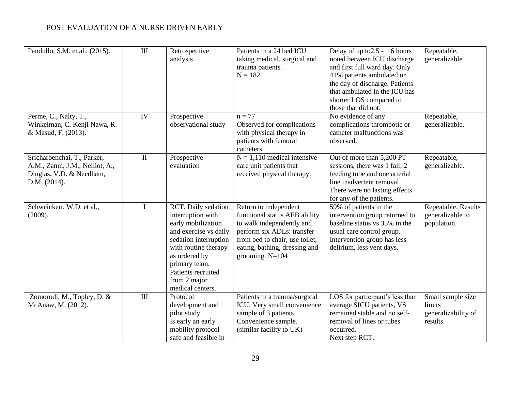| Pandullo, S.M. et al., (2015).                                                                             | $\rm III$   | Retrospective<br>analysis                                                                                                                                                                                                            | Patients in a 24 bed ICU<br>taking medical, surgical and<br>trauma patients.<br>$N = 182$                                                                                                                 | Delay of up to 2.5 - 16 hours<br>noted between ICU discharge<br>and first full ward day. Only<br>41% patients ambulated on<br>the day of discharge. Patients<br>that ambulated in the ICU has<br>shorter LOS compared to<br>those that did not. | Repeatable,<br>generalizable                                   |
|------------------------------------------------------------------------------------------------------------|-------------|--------------------------------------------------------------------------------------------------------------------------------------------------------------------------------------------------------------------------------------|-----------------------------------------------------------------------------------------------------------------------------------------------------------------------------------------------------------|-------------------------------------------------------------------------------------------------------------------------------------------------------------------------------------------------------------------------------------------------|----------------------------------------------------------------|
| Perme, C., Nalty, T.,<br>Winkelman, C. Kenji Nawa, R.<br>& Masud, F. (2013).                               | IV          | Prospective<br>observational study                                                                                                                                                                                                   | $n = 77$<br>Observed for complications<br>with physical therapy in<br>patients with femoral<br>catheters.                                                                                                 | No evidence of any<br>complications thrombotic or<br>catheter malfunctions was<br>observed.                                                                                                                                                     | Repeatable,<br>generalizable.                                  |
| Sricharoenchai, T., Parker,<br>A.M., Zanni, J.M., Nelliot, A.,<br>Dinglas, V.D. & Needham,<br>D.M. (2014). | $\rm II$    | Prospective<br>evaluation                                                                                                                                                                                                            | $N = 1,110$ medical intensive<br>care unit patients that<br>received physical therapy.                                                                                                                    | Out of more than 5,200 PT<br>sessions, there was 1 fall, 2<br>feeding tube and one arterial<br>line inadvertent removal.<br>There were no lasting effects<br>for any of the patients.                                                           | Repeatable,<br>generalizable.                                  |
| Schweickert, W.D. et al.,<br>(2009).                                                                       | $\mathbf I$ | RCT. Daily sedation<br>interruption with<br>early mobilization<br>and exercise vs daily<br>sedation interruption<br>with routine therapy<br>as ordered by<br>primary team.<br>Patients recruited<br>from 2 major<br>medical centers. | Return to independent<br>functional status AEB ability<br>to walk independently and<br>perform six ADLs: transfer<br>from bed to chair, use toilet,<br>eating, bathing, dressing and<br>grooming. $N=104$ | 59% of patients in the<br>intervention group returned to<br>baseline status vs 35% in the<br>usual care control group.<br>Intervention group has less<br>delirium, less vent days.                                                              | Repeatable. Results<br>generalizable to<br>population.         |
| Zomorodi, M., Topley, D. &<br>McAnaw, M. (2012).                                                           | III         | Protocol<br>development and<br>pilot study.<br>Is early an early<br>mobility protocol<br>safe and feasible in                                                                                                                        | Patients in a trauma/surgical<br>ICU. Very small convenience<br>sample of 3 patients.<br>Convenience sample.<br>(similar facility to UK)                                                                  | LOS for participant's less than<br>average SICU patients, VS<br>remained stable and no self-<br>removal of lines or tubes<br>occurred.<br>Next step RCT.                                                                                        | Small sample size<br>limits<br>generalizability of<br>results. |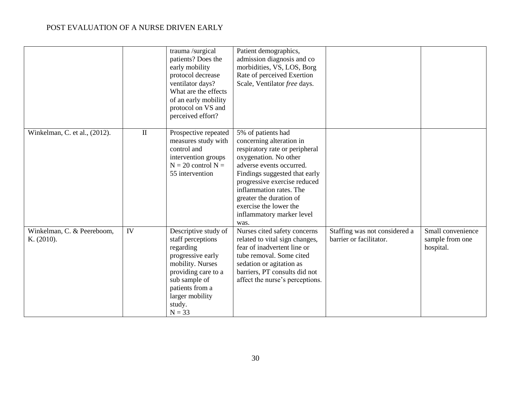|                                          |          | trauma /surgical<br>patients? Does the<br>early mobility<br>protocol decrease<br>ventilator days?<br>What are the effects<br>of an early mobility<br>protocol on VS and<br>perceived effort?        | Patient demographics,<br>admission diagnosis and co<br>morbidities, VS, LOS, Borg<br>Rate of perceived Exertion<br>Scale, Ventilator free days.                                                                                                                                                                             |                                                          |                                                   |
|------------------------------------------|----------|-----------------------------------------------------------------------------------------------------------------------------------------------------------------------------------------------------|-----------------------------------------------------------------------------------------------------------------------------------------------------------------------------------------------------------------------------------------------------------------------------------------------------------------------------|----------------------------------------------------------|---------------------------------------------------|
| Winkelman, C. et al., (2012).            | $\rm II$ | Prospective repeated<br>measures study with<br>control and<br>intervention groups<br>$N = 20$ control $N =$<br>55 intervention                                                                      | 5% of patients had<br>concerning alteration in<br>respiratory rate or peripheral<br>oxygenation. No other<br>adverse events occurred.<br>Findings suggested that early<br>progressive exercise reduced<br>inflammation rates. The<br>greater the duration of<br>exercise the lower the<br>inflammatory marker level<br>was. |                                                          |                                                   |
| Winkelman, C. & Peereboom,<br>K. (2010). | IV       | Descriptive study of<br>staff perceptions<br>regarding<br>progressive early<br>mobility. Nurses<br>providing care to a<br>sub sample of<br>patients from a<br>larger mobility<br>study.<br>$N = 33$ | Nurses cited safety concerns<br>related to vital sign changes,<br>fear of inadvertent line or<br>tube removal. Some cited<br>sedation or agitation as<br>barriers, PT consults did not<br>affect the nurse's perceptions.                                                                                                   | Staffing was not considered a<br>barrier or facilitator. | Small convenience<br>sample from one<br>hospital. |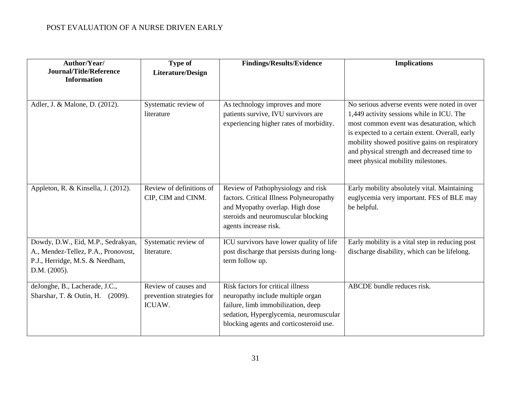| Author/Year/<br><b>Journal/Title/Reference</b><br><b>Information</b>                                                         | <b>Type of</b><br><b>Literature/Design</b>                  | <b>Findings/Results/Evidence</b>                                                                                                                                                                  | <b>Implications</b>                                                                                                                                                                                                                                                                                                             |
|------------------------------------------------------------------------------------------------------------------------------|-------------------------------------------------------------|---------------------------------------------------------------------------------------------------------------------------------------------------------------------------------------------------|---------------------------------------------------------------------------------------------------------------------------------------------------------------------------------------------------------------------------------------------------------------------------------------------------------------------------------|
| Adler, J. & Malone, D. (2012).                                                                                               | Systematic review of<br>literature                          | As technology improves and more<br>patients survive, IVU survivors are<br>experiencing higher rates of morbidity.                                                                                 | No serious adverse events were noted in over<br>1,449 activity sessions while in ICU. The<br>most common event was desaturation, which<br>is expected to a certain extent. Overall, early<br>mobility showed positive gains on respiratory<br>and physical strength and decreased time to<br>meet physical mobility milestones. |
| Appleton, R. & Kinsella, J. (2012).                                                                                          | Review of definitions of<br>CIP, CIM and CINM.              | Review of Pathophysiology and risk<br>factors. Critical Illness Polyneuropathy<br>and Myopathy overlap. High dose<br>steroids and neuromuscular blocking<br>agents increase risk.                 | Early mobility absolutely vital. Maintaining<br>euglycemia very important. FES of BLE may<br>be helpful.                                                                                                                                                                                                                        |
| Dowdy, D.W., Eid, M.P., Sedrakyan,<br>A., Mendez-Tellez, P.A., Pronovost,<br>P.J., Herridge, M.S. & Needham,<br>D.M. (2005). | Systematic review of<br>literature.                         | ICU survivors have lower quality of life<br>post discharge that persists during long-<br>term follow up.                                                                                          | Early mobility is a vital step in reducing post<br>discharge disability, which can be lifelong.                                                                                                                                                                                                                                 |
| deJonghe, B., Lacherade, J.C.,<br>Sharshar, T. & Outin, H. (2009).                                                           | Review of causes and<br>prevention strategies for<br>ICUAW. | Risk factors for critical illness<br>neuropathy include multiple organ<br>failure, limb immobilization, deep<br>sedation, Hyperglycemia, neuromuscular<br>blocking agents and corticosteroid use. | ABCDE bundle reduces risk.                                                                                                                                                                                                                                                                                                      |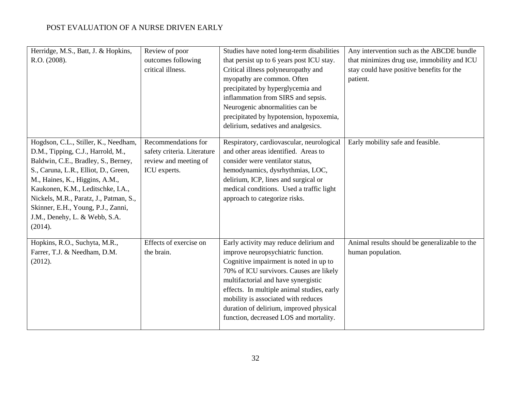| Herridge, M.S., Batt, J. & Hopkins,<br>R.O. (2008).                                                                                                                                                                                                                                                                                                         | Review of poor<br>outcomes following<br>critical illness.                                   | Studies have noted long-term disabilities<br>that persist up to 6 years post ICU stay.<br>Critical illness polyneuropathy and<br>myopathy are common. Often<br>precipitated by hyperglycemia and<br>inflammation from SIRS and sepsis.<br>Neurogenic abnormalities can be<br>precipitated by hypotension, hypoxemia,<br>delirium, sedatives and analgesics.                        | Any intervention such as the ABCDE bundle<br>that minimizes drug use, immobility and ICU<br>stay could have positive benefits for the<br>patient. |
|-------------------------------------------------------------------------------------------------------------------------------------------------------------------------------------------------------------------------------------------------------------------------------------------------------------------------------------------------------------|---------------------------------------------------------------------------------------------|------------------------------------------------------------------------------------------------------------------------------------------------------------------------------------------------------------------------------------------------------------------------------------------------------------------------------------------------------------------------------------|---------------------------------------------------------------------------------------------------------------------------------------------------|
| Hogdson, C.L., Stiller, K., Needham,<br>D.M., Tipping, C.J., Harrold, M.,<br>Baldwin, C.E., Bradley, S., Berney,<br>S., Caruna, L.R., Elliot, D., Green,<br>M., Haines, K., Higgins, A.M.,<br>Kaukonen, K.M., Leditschke, I.A.,<br>Nickels, M.R., Paratz, J., Patman, S.,<br>Skinner, E.H., Young, P.J., Zanni,<br>J.M., Denehy, L. & Webb, S.A.<br>(2014). | Recommendations for<br>safety criteria. Literature<br>review and meeting of<br>ICU experts. | Respiratory, cardiovascular, neurological<br>and other areas identified. Areas to<br>consider were ventilator status,<br>hemodynamics, dysrhythmias, LOC,<br>delirium, ICP, lines and surgical or<br>medical conditions. Used a traffic light<br>approach to categorize risks.                                                                                                     | Early mobility safe and feasible.                                                                                                                 |
| Hopkins, R.O., Suchyta, M.R.,<br>Farrer, T.J. & Needham, D.M.<br>(2012).                                                                                                                                                                                                                                                                                    | Effects of exercise on<br>the brain.                                                        | Early activity may reduce delirium and<br>improve neuropsychiatric function.<br>Cognitive impairment is noted in up to<br>70% of ICU survivors. Causes are likely<br>multifactorial and have synergistic<br>effects. In multiple animal studies, early<br>mobility is associated with reduces<br>duration of delirium, improved physical<br>function, decreased LOS and mortality. | Animal results should be generalizable to the<br>human population.                                                                                |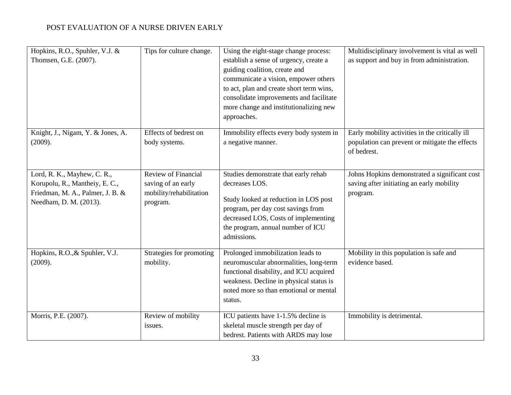| Hopkins, R.O., Spuhler, V.J. &<br>Thomsen, G.E. (2007).                                                                    | Tips for culture change.                                                                | Using the eight-stage change process:<br>establish a sense of urgency, create a<br>guiding coalition, create and<br>communicate a vision, empower others<br>to act, plan and create short term wins,<br>consolidate improvements and facilitate<br>more change and institutionalizing new<br>approaches. | Multidisciplinary involvement is vital as well<br>as support and buy in from administration.                     |
|----------------------------------------------------------------------------------------------------------------------------|-----------------------------------------------------------------------------------------|----------------------------------------------------------------------------------------------------------------------------------------------------------------------------------------------------------------------------------------------------------------------------------------------------------|------------------------------------------------------------------------------------------------------------------|
| Knight, J., Nigam, Y. & Jones, A.<br>(2009).                                                                               | Effects of bedrest on<br>body systems.                                                  | Immobility effects every body system in<br>a negative manner.                                                                                                                                                                                                                                            | Early mobility activities in the critically ill<br>population can prevent or mitigate the effects<br>of bedrest. |
| Lord, R. K., Mayhew, C. R.,<br>Korupolu, R., Mantheiy, E.C.,<br>Friedman, M. A., Palmer, J. B. &<br>Needham, D. M. (2013). | <b>Review of Financial</b><br>saving of an early<br>mobility/rehabilitation<br>program. | Studies demonstrate that early rehab<br>decreases LOS.<br>Study looked at reduction in LOS post<br>program, per day cost savings from<br>decreased LOS, Costs of implementing<br>the program, annual number of ICU<br>admissions.                                                                        | Johns Hopkins demonstrated a significant cost<br>saving after initiating an early mobility<br>program.           |
| Hopkins, R.O., & Spuhler, V.J.<br>(2009).                                                                                  | Strategies for promoting<br>mobility.                                                   | Prolonged immobilization leads to<br>neuromuscular abnormalities, long-term<br>functional disability, and ICU acquired<br>weakness. Decline in physical status is<br>noted more so than emotional or mental<br>status.                                                                                   | Mobility in this population is safe and<br>evidence based.                                                       |
| Morris, P.E. (2007).                                                                                                       | Review of mobility<br>issues.                                                           | ICU patients have 1-1.5% decline is<br>skeletal muscle strength per day of<br>bedrest. Patients with ARDS may lose                                                                                                                                                                                       | Immobility is detrimental.                                                                                       |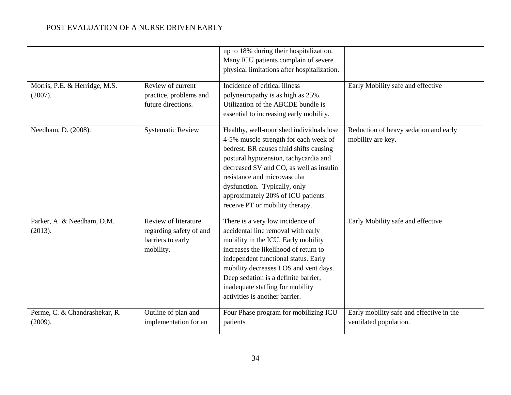|                                          |                                                                                   | up to 18% during their hospitalization.<br>Many ICU patients complain of severe<br>physical limitations after hospitalization.                                                                                                                                                                                                                           |                                                                    |
|------------------------------------------|-----------------------------------------------------------------------------------|----------------------------------------------------------------------------------------------------------------------------------------------------------------------------------------------------------------------------------------------------------------------------------------------------------------------------------------------------------|--------------------------------------------------------------------|
| Morris, P.E. & Herridge, M.S.<br>(2007). | Review of current<br>practice, problems and<br>future directions.                 | Incidence of critical illness<br>polyneuropathy is as high as 25%.<br>Utilization of the ABCDE bundle is<br>essential to increasing early mobility.                                                                                                                                                                                                      | Early Mobility safe and effective                                  |
| Needham, D. (2008).                      | <b>Systematic Review</b>                                                          | Healthy, well-nourished individuals lose<br>4-5% muscle strength for each week of<br>bedrest. BR causes fluid shifts causing<br>postural hypotension, tachycardia and<br>decreased SV and CO, as well as insulin<br>resistance and microvascular<br>dysfunction. Typically, only<br>approximately 20% of ICU patients<br>receive PT or mobility therapy. | Reduction of heavy sedation and early<br>mobility are key.         |
| Parker, A. & Needham, D.M.<br>(2013).    | Review of literature<br>regarding safety of and<br>barriers to early<br>mobility. | There is a very low incidence of<br>accidental line removal with early<br>mobility in the ICU. Early mobility<br>increases the likelihood of return to<br>independent functional status. Early<br>mobility decreases LOS and vent days.<br>Deep sedation is a definite barrier,<br>inadequate staffing for mobility<br>activities is another barrier.    | Early Mobility safe and effective                                  |
| Perme, C. & Chandrashekar, R.<br>(2009). | Outline of plan and<br>implementation for an                                      | Four Phase program for mobilizing ICU<br>patients                                                                                                                                                                                                                                                                                                        | Early mobility safe and effective in the<br>ventilated population. |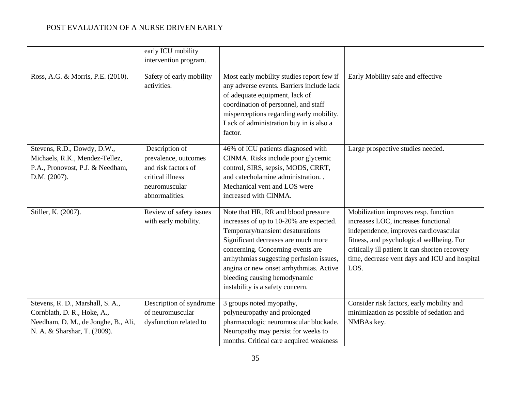|                                     | early ICU mobility       |                                           |                                                |
|-------------------------------------|--------------------------|-------------------------------------------|------------------------------------------------|
|                                     | intervention program.    |                                           |                                                |
|                                     |                          |                                           |                                                |
| Ross, A.G. & Morris, P.E. (2010).   | Safety of early mobility | Most early mobility studies report few if | Early Mobility safe and effective              |
|                                     | activities.              | any adverse events. Barriers include lack |                                                |
|                                     |                          | of adequate equipment, lack of            |                                                |
|                                     |                          | coordination of personnel, and staff      |                                                |
|                                     |                          | misperceptions regarding early mobility.  |                                                |
|                                     |                          | Lack of administration buy in is also a   |                                                |
|                                     |                          | factor.                                   |                                                |
|                                     |                          |                                           |                                                |
| Stevens, R.D., Dowdy, D.W.,         | Description of           | 46% of ICU patients diagnosed with        | Large prospective studies needed.              |
| Michaels, R.K., Mendez-Tellez,      | prevalence, outcomes     | CINMA. Risks include poor glycemic        |                                                |
| P.A., Pronovost, P.J. & Needham,    | and risk factors of      | control, SIRS, sepsis, MODS, CRRT,        |                                                |
| D.M. (2007).                        | critical illness         | and catecholamine administration. .       |                                                |
|                                     | neuromuscular            | Mechanical vent and LOS were              |                                                |
|                                     | abnormalities.           | increased with CINMA.                     |                                                |
|                                     |                          |                                           |                                                |
| Stiller, K. (2007).                 | Review of safety issues  | Note that HR, RR and blood pressure       | Mobilization improves resp. function           |
|                                     | with early mobility.     | increases of up to 10-20% are expected.   | increases LOC, increases functional            |
|                                     |                          | Temporary/transient desaturations         | independence, improves cardiovascular          |
|                                     |                          | Significant decreases are much more       | fitness, and psychological wellbeing. For      |
|                                     |                          | concerning. Concerning events are         | critically ill patient it can shorten recovery |
|                                     |                          | arrhythmias suggesting perfusion issues,  | time, decrease vent days and ICU and hospital  |
|                                     |                          | angina or new onset arrhythmias. Active   | LOS.                                           |
|                                     |                          | bleeding causing hemodynamic              |                                                |
|                                     |                          | instability is a safety concern.          |                                                |
| Stevens, R. D., Marshall, S. A.,    | Description of syndrome  | 3 groups noted myopathy,                  | Consider risk factors, early mobility and      |
| Cornblath, D. R., Hoke, A.,         | of neuromuscular         | polyneuropathy and prolonged              | minimization as possible of sedation and       |
| Needham, D. M., de Jonghe, B., Ali, |                          | pharmacologic neuromuscular blockade.     | NMBAs key.                                     |
| N. A. & Sharshar, T. (2009).        | dysfunction related to   | Neuropathy may persist for weeks to       |                                                |
|                                     |                          |                                           |                                                |
|                                     |                          | months. Critical care acquired weakness   |                                                |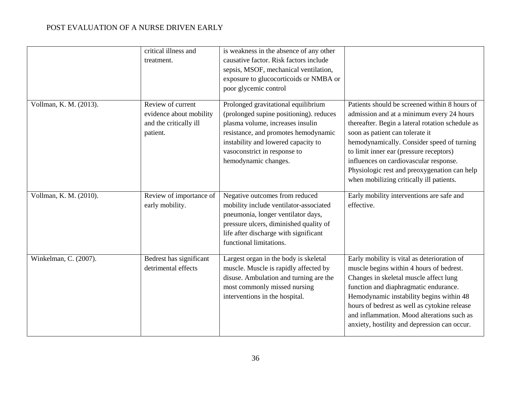|                        | critical illness and<br>treatment.                                                 | is weakness in the absence of any other<br>causative factor. Risk factors include<br>sepsis, MSOF, mechanical ventilation,<br>exposure to glucocorticoids or NMBA or<br>poor glycemic control                                                             |                                                                                                                                                                                                                                                                                                                                                                                                                  |
|------------------------|------------------------------------------------------------------------------------|-----------------------------------------------------------------------------------------------------------------------------------------------------------------------------------------------------------------------------------------------------------|------------------------------------------------------------------------------------------------------------------------------------------------------------------------------------------------------------------------------------------------------------------------------------------------------------------------------------------------------------------------------------------------------------------|
| Vollman, K. M. (2013). | Review of current<br>evidence about mobility<br>and the critically ill<br>patient. | Prolonged gravitational equilibrium<br>(prolonged supine positioning). reduces<br>plasma volume, increases insulin<br>resistance, and promotes hemodynamic<br>instability and lowered capacity to<br>vasoconstrict in response to<br>hemodynamic changes. | Patients should be screened within 8 hours of<br>admission and at a minimum every 24 hours<br>thereafter. Begin a lateral rotation schedule as<br>soon as patient can tolerate it<br>hemodynamically. Consider speed of turning<br>to limit inner ear (pressure receptors)<br>influences on cardiovascular response.<br>Physiologic rest and preoxygenation can help<br>when mobilizing critically ill patients. |
| Vollman, K. M. (2010). | Review of importance of<br>early mobility.                                         | Negative outcomes from reduced<br>mobility include ventilator-associated<br>pneumonia, longer ventilator days,<br>pressure ulcers, diminished quality of<br>life after discharge with significant<br>functional limitations.                              | Early mobility interventions are safe and<br>effective.                                                                                                                                                                                                                                                                                                                                                          |
| Winkelman, C. (2007).  | Bedrest has significant<br>detrimental effects                                     | Largest organ in the body is skeletal<br>muscle. Muscle is rapidly affected by<br>disuse. Ambulation and turning are the<br>most commonly missed nursing<br>interventions in the hospital.                                                                | Early mobility is vital as deterioration of<br>muscle begins within 4 hours of bedrest.<br>Changes in skeletal muscle affect lung<br>function and diaphragmatic endurance.<br>Hemodynamic instability begins within 48<br>hours of bedrest as well as cytokine release<br>and inflammation. Mood alterations such as<br>anxiety, hostility and depression can occur.                                             |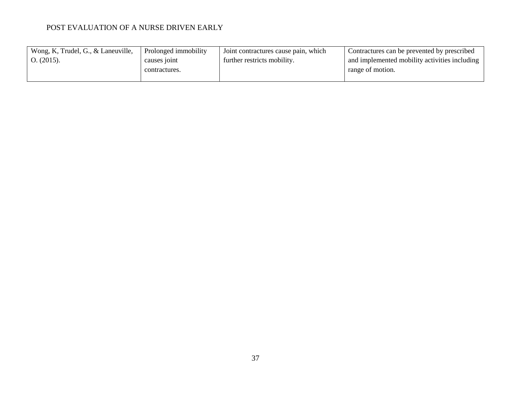| Wong, K, Trudel, G., & Laneuville, | Prolonged immobility | I Joint contractures cause pain, which | Contractures can be prevented by prescribed   |
|------------------------------------|----------------------|----------------------------------------|-----------------------------------------------|
| O. (2015).                         | causes to not        | further restricts mobility.            | and implemented mobility activities including |
|                                    | contractures.        |                                        | range of motion.                              |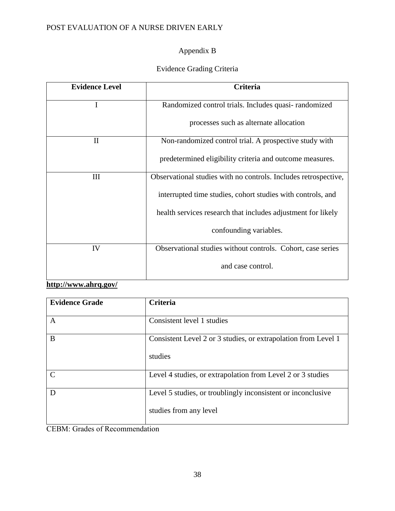## Appendix B

# Evidence Grading Criteria

| <b>Evidence Level</b> | <b>Criteria</b>                                                 |
|-----------------------|-----------------------------------------------------------------|
| I                     | Randomized control trials. Includes quasi-randomized            |
|                       | processes such as alternate allocation                          |
| $\mathbf{I}$          | Non-randomized control trial. A prospective study with          |
|                       | predetermined eligibility criteria and outcome measures.        |
| Ш                     | Observational studies with no controls. Includes retrospective, |
|                       | interrupted time studies, cohort studies with controls, and     |
|                       | health services research that includes adjustment for likely    |
|                       | confounding variables.                                          |
| IV                    | Observational studies without controls. Cohort, case series     |
|                       | and case control.                                               |

# **<http://www.ahrq.gov/>**

| <b>Evidence Grade</b> | <b>Criteria</b>                                                                        |  |
|-----------------------|----------------------------------------------------------------------------------------|--|
| A                     | Consistent level 1 studies                                                             |  |
| B                     | Consistent Level 2 or 3 studies, or extrapolation from Level 1<br>studies              |  |
| $\mathcal{C}$         | Level 4 studies, or extrapolation from Level 2 or 3 studies                            |  |
| D                     | Level 5 studies, or troublingly inconsistent or inconclusive<br>studies from any level |  |

CEBM: Grades of Recommendation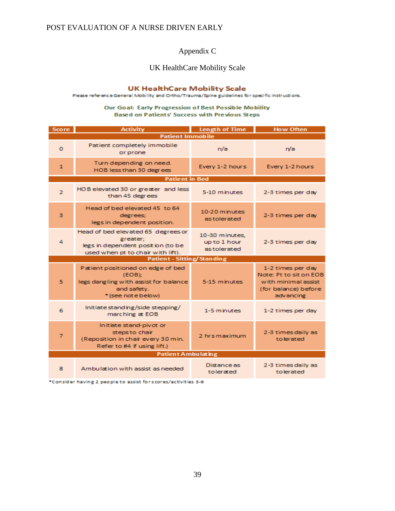## Appendix C

## UK HealthCare Mobility Scale

### **UK HealthCare Mobility Scale**

Please reference General Mobility and Ortho/Trauma/Spine guidelines for specific instructions.

#### Our Goal: Early Progression of Best Possible Mobility **Based on Patients' Success with Previous Steps**

| <b>Score</b>              | <b>Activity</b>                                                                                                            | <b>Length of Time</b>                         | <b>How Often</b>                                                                                        |  |
|---------------------------|----------------------------------------------------------------------------------------------------------------------------|-----------------------------------------------|---------------------------------------------------------------------------------------------------------|--|
| <b>Patient Immobile</b>   |                                                                                                                            |                                               |                                                                                                         |  |
| $\Omega$                  | Patient completely immobile<br>or prone                                                                                    | n/a                                           | n/a                                                                                                     |  |
| $\mathbf{1}$              | Turn depending on need.<br>HOB less than 30 degrees                                                                        | Every 1-2 hours                               | Every 1-2 hours                                                                                         |  |
| <b>Patient in Bed</b>     |                                                                                                                            |                                               |                                                                                                         |  |
| $\overline{2}$            | HOB elevated 30 or greater and less<br>than 45 degrees                                                                     | 5-10 minutes                                  | 2-3 times per day                                                                                       |  |
| 3                         | Head of bed elevated 45 to 64<br>degrees;<br>legs in dependent position.                                                   | 10-20 minutes<br>as tolerated                 | 2-3 times per day                                                                                       |  |
| 4                         | Head of bed elevated 65 degrees or<br>greater;<br>legs in dependent position (to be<br>used when pt to chair with lift).   | 10-30 minutes.<br>up to 1 hour<br>astolerated | 2-3 times per day                                                                                       |  |
|                           | <b>Patient - Sitting/Standing</b>                                                                                          |                                               |                                                                                                         |  |
| 5                         | Patient positioned on edge of bed<br>(EOB):<br>legs dangling with assist for balance<br>and safety.<br>* (see not e below) | 5-15 minutes                                  | 1-2 times per day<br>Note: Pt to sit on EOB<br>with minimal assist<br>(for balance) before<br>advancing |  |
| 6                         | Initiate standing/side stepping/<br>marching at EOB                                                                        | 1-5 minutes                                   | 1-2 times per day                                                                                       |  |
| $\overline{7}$            | Initiate stand-pivot or<br>steps to chair<br>(Reposition in chair every 30 min.<br>Refer to #4 if using lift.)             | 2 hrsmaximum                                  | 2-3 times daily as<br>tolerated                                                                         |  |
| <b>Patient Ambulating</b> |                                                                                                                            |                                               |                                                                                                         |  |
| 8.                        | Ambulation with assist as needed.                                                                                          | <b>Distance as</b><br>tolerated               | 2-3 times daily as<br>tolerated                                                                         |  |

\*Consider having 2 people to assist for scores/activities 3-6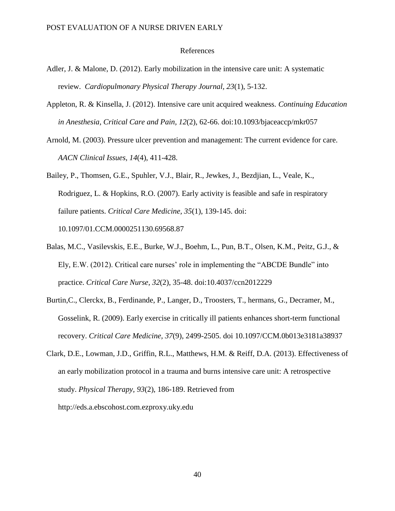### References

- Adler, J. & Malone, D. (2012). Early mobilization in the intensive care unit: A systematic review. *Cardiopulmonary Physical Therapy Journal, 23*(1), 5-132.
- Appleton, R. & Kinsella, J. (2012). Intensive care unit acquired weakness. *Continuing Education in Anesthesia, Critical Care and Pain, 12*(2), 62-66. doi:10.1093/bjaceaccp/mkr057
- Arnold, M. (2003). Pressure ulcer prevention and management: The current evidence for care. *AACN Clinical Issues, 14*(4), 411-428.
- Bailey, P., Thomsen, G.E., Spuhler, V.J., Blair, R., Jewkes, J., Bezdjian, L., Veale, K., Rodriguez, L. & Hopkins, R.O. (2007). Early activity is feasible and safe in respiratory failure patients. *Critical Care Medicine, 35*(1), 139-145. doi: 10.1097/01.CCM.0000251130.69568.87
- Balas, M.C., Vasilevskis, E.E., Burke, W.J., Boehm, L., Pun, B.T., Olsen, K.M., Peitz, G.J., & Ely, E.W. (2012). Critical care nurses' role in implementing the "ABCDE Bundle" into practice. *Critical Care Nurse*, *32*(2), 35-48. doi:10.4037/ccn2012229
- Burtin,C., Clerckx, B., Ferdinande, P., Langer, D., Troosters, T., hermans, G., Decramer, M., Gosselink, R. (2009). Early exercise in critically ill patients enhances short-term functional recovery. *Critical Care Medicine, 37*(9), 2499-2505. doi 10.1097/CCM.0b013e3181a38937
- Clark, D.E., Lowman, J.D., Griffin, R.L., Matthews, H.M. & Reiff, D.A. (2013). Effectiveness of an early mobilization protocol in a trauma and burns intensive care unit: A retrospective study. *Physical Therapy, 93*(2), 186-189. Retrieved from http://eds.a.ebscohost.com.ezproxy.uky.edu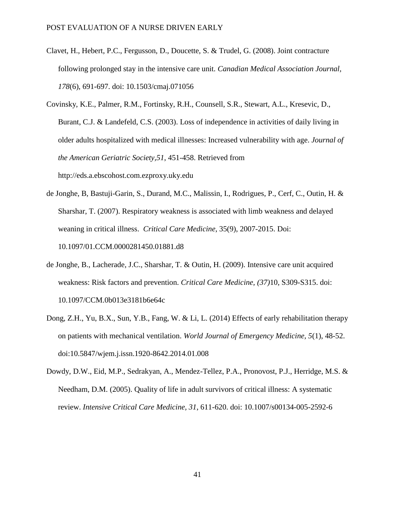- Clavet, H., Hebert, P.C., Fergusson, D., Doucette, S. & Trudel, G. (2008). Joint contracture following prolonged stay in the intensive care unit*. Canadian Medical Association Journal, 178*(6), 691-697. doi: 10.1503/cmaj.071056
- Covinsky, K.E., Palmer, R.M., Fortinsky, R.H., Counsell, S.R., Stewart, A.L., Kresevic, D., Burant, C.J. & Landefeld, C.S. (2003). Loss of independence in activities of daily living in older adults hospitalized with medical illnesses: Increased vulnerability with age. *Journal of the American Geriatric Society,51*, 451-458. Retrieved from http://eds.a.ebscohost.com.ezproxy.uky.edu
- de Jonghe, B, Bastuji-Garin, S., Durand, M.C., Malissin, I., Rodrigues, P., Cerf, C., Outin, H. & Sharshar, T. (2007). Respiratory weakness is associated with limb weakness and delayed weaning in critical illness. *Critical Care Medicine*, 35(9), 2007-2015. Doi: 10.1097/01.CCM.0000281450.01881.d8
- de Jonghe, B., Lacherade, J.C., Sharshar, T. & Outin, H. (2009). Intensive care unit acquired weakness: Risk factors and prevention. *Critical Care Medicine, (37)*10, S309-S315. doi: 10.1097/CCM.0b013e3181b6e64c
- Dong, Z.H., Yu, B.X., Sun, Y.B., Fang, W. & Li, L. (2014) Effects of early rehabilitation therapy on patients with mechanical ventilation. *World Journal of Emergency Medicine, 5*(1), 48-52. doi:10.5847/wjem.j.issn.1920-8642.2014.01.008
- Dowdy, D.W., Eid, M.P., Sedrakyan, A., Mendez-Tellez, P.A., Pronovost, P.J., Herridge, M.S. & Needham, D.M. (2005). Quality of life in adult survivors of critical illness: A systematic review. *Intensive Critical Care Medicine, 31*, 611-620. doi: 10.1007/s00134-005-2592-6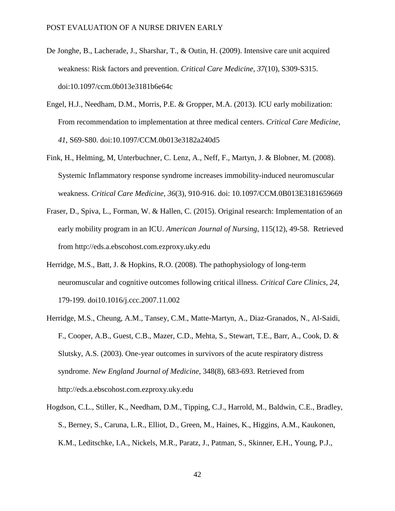- De Jonghe, B., Lacherade, J., Sharshar, T., & Outin, H. (2009). Intensive care unit acquired weakness: Risk factors and prevention. *Critical Care Medicine, 37*(10), S309-S315. doi:10.1097/ccm.0b013e3181b6e64c
- Engel, H.J., Needham, D.M., Morris, P.E. & Gropper, M.A. (2013). ICU early mobilization: From recommendation to implementation at three medical centers. *Critical Care Medicine, 41*, S69-S80. doi:10.1097/CCM.0b013e3182a240d5
- Fink, H., Helming, M, Unterbuchner, C. Lenz, A., Neff, F., Martyn, J. & Blobner, M. (2008). Systemic Inflammatory response syndrome increases immobility-induced neuromuscular weakness. *Critical Care Medicine, 36*(3), 910-916. doi: 10.1097/CCM.0B013E3181659669
- Fraser, D., Spiva, L., Forman, W. & Hallen, C. (2015). Original research: Implementation of an early mobility program in an ICU. *American Journal of Nursing*, 115(12), 49-58. Retrieved from http://eds.a.ebscohost.com.ezproxy.uky.edu
- Herridge, M.S., Batt, J. & Hopkins, R.O. (2008). The pathophysiology of long-term neuromuscular and cognitive outcomes following critical illness. *Critical Care Clinics, 24,* 179-199. doi10.1016/j.ccc.2007.11.002
- Herridge, M.S., Cheung, A.M., Tansey, C.M., Matte-Martyn, A., Diaz-Granados, N., Al-Saidi, F., Cooper, A.B., Guest, C.B., Mazer, C.D., Mehta, S., Stewart, T.E., Barr, A., Cook, D. & Slutsky, A.S. (2003). One-year outcomes in survivors of the acute respiratory distress syndrome. *New England Journal of Medicine*, 348(8), 683-693. Retrieved from http://eds.a.ebscohost.com.ezproxy.uky.edu
- Hogdson, C.L., Stiller, K., Needham, D.M., Tipping, C.J., Harrold, M., Baldwin, C.E., Bradley, S., Berney, S., Caruna, L.R., Elliot, D., Green, M., Haines, K., Higgins, A.M., Kaukonen, K.M., Leditschke, I.A., Nickels, M.R., Paratz, J., Patman, S., Skinner, E.H., Young, P.J.,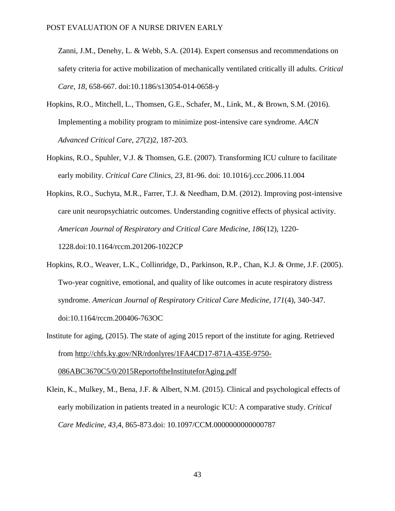Zanni, J.M., Denehy, L. & Webb, S.A. (2014). Expert consensus and recommendations on safety criteria for active mobilization of mechanically ventilated critically ill adults. *Critical Care, 18*, 658-667. doi:10.1186/s13054-014-0658-y

- Hopkins, R.O., Mitchell, L., Thomsen, G.E., Schafer, M., Link, M., & Brown, S.M. (2016). Implementing a mobility program to minimize post-intensive care syndrome. *AACN Advanced Critical Care, 27*(2)2, 187-203.
- Hopkins, R.O., Spuhler, V.J. & Thomsen, G.E. (2007). Transforming ICU culture to facilitate early mobility. *Critical Care Clinics, 23,* 81-96. doi: 10.1016/j.ccc.2006.11.004
- Hopkins, R.O., Suchyta, M.R., Farrer, T.J. & Needham, D.M. (2012). Improving post-intensive care unit neuropsychiatric outcomes. Understanding cognitive effects of physical activity. *American Journal of Respiratory and Critical Care Medicine, 186*(12), 1220- 1228.doi:10.1164/rccm.201206-1022CP
- Hopkins, R.O., Weaver, L.K., Collinridge, D., Parkinson, R.P., Chan, K.J. & Orme, J.F. (2005). Two-year cognitive, emotional, and quality of like outcomes in acute respiratory distress syndrome. *American Journal of Respiratory Critical Care Medicine, 171*(4), 340-347. doi:10.1164/rccm.200406-763OC

Institute for aging, (2015). The state of aging 2015 report of the institute for aging. Retrieved from [http://chfs.ky.gov/NR/rdonlyres/1FA4CD17-871A-435E-9750-](http://chfs.ky.gov/NR/rdonlyres/1FA4CD17-871A-435E-9750-086ABC3670C5/0/2015ReportoftheInstituteforAging.pdf) [086ABC3670C5/0/2015ReportoftheInstituteforAging.pdf](http://chfs.ky.gov/NR/rdonlyres/1FA4CD17-871A-435E-9750-086ABC3670C5/0/2015ReportoftheInstituteforAging.pdf)

Klein, K., Mulkey, M., Bena, J.F. & Albert, N.M. (2015). Clinical and psychological effects of early mobilization in patients treated in a neurologic ICU: A comparative study. *Critical Care Medicine, 43*,4, 865-873.doi: 10.1097/CCM.0000000000000787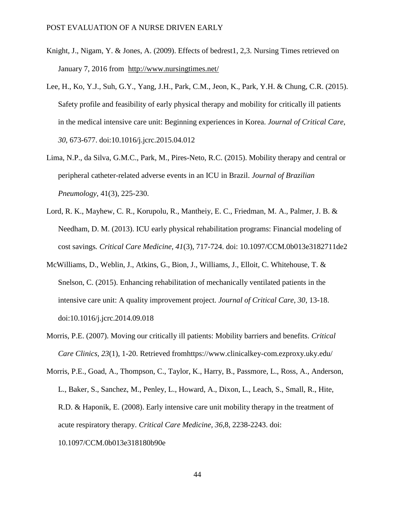- Knight, J., Nigam, Y. & Jones, A. (2009). Effects of bedrest1, 2,3. Nursing Times retrieved on January 7, 2016 from <http://www.nursingtimes.net/>
- Lee, H., Ko, Y.J., Suh, G.Y., Yang, J.H., Park, C.M., Jeon, K., Park, Y.H. & Chung, C.R. (2015). Safety profile and feasibility of early physical therapy and mobility for critically ill patients in the medical intensive care unit: Beginning experiences in Korea. *Journal of Critical Care, 30*, 673-677. doi:10.1016/j.jcrc.2015.04.012
- Lima, N.P., da Silva, G.M.C., Park, M., Pires-Neto, R.C. (2015). Mobility therapy and central or peripheral catheter-related adverse events in an ICU in Brazil. *Journal of Brazilian Pneumology*, 41(3), 225-230.
- Lord, R. K., Mayhew, C. R., Korupolu, R., Mantheiy, E. C., Friedman, M. A., Palmer, J. B. & Needham, D. M. (2013). ICU early physical rehabilitation programs: Financial modeling of cost savings*. Critical Care Medicine, 41*(3), 717-724. doi: 10.1097/CCM.0b013e3182711de2
- McWilliams, D., Weblin, J., Atkins, G., Bion, J., Williams, J., Elloit, C. Whitehouse, T. & Snelson, C. (2015). Enhancing rehabilitation of mechanically ventilated patients in the intensive care unit: A quality improvement project. *Journal of Critical Care, 30*, 13-18. doi:10.1016/j.jcrc.2014.09.018
- Morris, P.E. (2007). Moving our critically ill patients: Mobility barriers and benefits. *Critical Care Clinics, 23*(1), 1-20. Retrieved fromhttps://www.clinicalkey-com.ezproxy.uky.edu/
- Morris, P.E., Goad, A., Thompson, C., Taylor, K., Harry, B., Passmore, L., Ross, A., Anderson, L., Baker, S., Sanchez, M., Penley, L., Howard, A., Dixon, L., Leach, S., Small, R., Hite, R.D. & Haponik, E. (2008). Early intensive care unit mobility therapy in the treatment of acute respiratory therapy. *Critical Care Medicine, 36*,8, 2238-2243. doi: 10.1097/CCM.0b013e318180b90e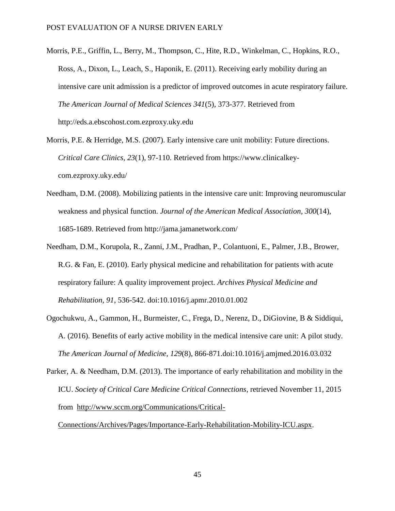- Morris, P.E., Griffin, L., Berry, M., Thompson, C., Hite, R.D., Winkelman, C., Hopkins, R.O., Ross, A., Dixon, L., Leach, S., Haponik, E. (2011). Receiving early mobility during an intensive care unit admission is a predictor of improved outcomes in acute respiratory failure. *The American Journal of Medical Sciences 341*(5), 373-377. Retrieved from http://eds.a.ebscohost.com.ezproxy.uky.edu
- Morris, P.E. & Herridge, M.S. (2007). Early intensive care unit mobility: Future directions. *Critical Care Clinics, 23*(1), 97-110. Retrieved from https://www.clinicalkeycom.ezproxy.uky.edu/
- Needham, D.M. (2008). Mobilizing patients in the intensive care unit: Improving neuromuscular weakness and physical function. *Journal of the American Medical Association, 300*(14), 1685-1689. Retrieved from http://jama.jamanetwork.com/
- Needham, D.M., Korupola, R., Zanni, J.M., Pradhan, P., Colantuoni, E., Palmer, J.B., Brower, R.G. & Fan, E. (2010). Early physical medicine and rehabilitation for patients with acute respiratory failure: A quality improvement project. *Archives Physical Medicine and Rehabilitation, 91*, 536-542. doi:10.1016/j.apmr.2010.01.002
- Ogochukwu, A., Gammon, H., Burmeister, C., Frega, D., Nerenz, D., DiGiovine, B & Siddiqui, A. (2016). Benefits of early active mobility in the medical intensive care unit: A pilot study. *The American Journal of Medicine, 129*(8), 866-871.doi:10.1016/j.amjmed.2016.03.032
- Parker, A. & Needham, D.M. (2013). The importance of early rehabilitation and mobility in the ICU. *Society of Critical Care Medicine Critical Connections*, retrieved November 11, 2015 from [http://www.sccm.org/Communications/Critical-](http://www.sccm.org/Communications/Critical-Connections/Archives/Pages/Importance-Early-Rehabilitation-Mobility-ICU.aspx)

[Connections/Archives/Pages/Importance-Early-Rehabilitation-Mobility-ICU.aspx.](http://www.sccm.org/Communications/Critical-Connections/Archives/Pages/Importance-Early-Rehabilitation-Mobility-ICU.aspx)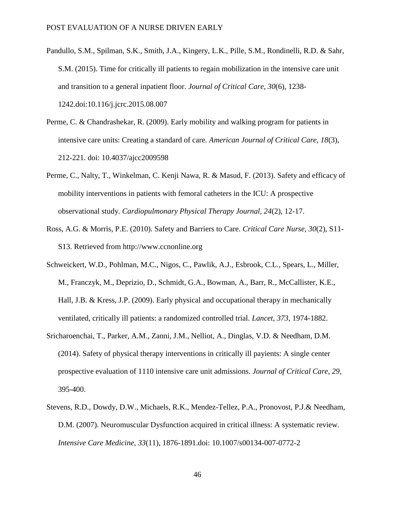- Pandullo, S.M., Spilman, S.K., Smith, J.A., Kingery, L.K., Pille, S.M., Rondinelli, R.D. & Sahr, S.M. (2015). Time for critically ill patients to regain mobilization in the intensive care unit and transition to a general inpatient floor. *Journal of Critical Care, 30*(6), 1238- 1242.doi:10.116/j.jcrc.2015.08.007
- Perme, C. & Chandrashekar, R. (2009). Early mobility and walking program for patients in intensive care units: Creating a standard of care. *American Journal of Critical Care, 18*(3), 212-221. doi: 10.4037/ajcc2009598
- Perme, C., Nalty, T., Winkelman, C. Kenji Nawa, R. & Masud, F. (2013). Safety and efficacy of mobility interventions in patients with femoral catheters in the ICU: A prospective observational study. *Cardiopulmonary Physical Therapy Journal, 24*(2), 12-17.
- Ross, A.G. & Morris, P.E. (2010). Safety and Barriers to Care. *Critical Care Nurse, 30*(2), S11- S13. Retrieved from http://www.ccnonline.org
- Schweickert, W.D., Pohlman, M.C., Nigos, C., Pawlik, A.J., Esbrook, C.L., Spears, L., Miller, M., Franczyk, M., Deprizio, D., Schmidt, G.A., Bowman, A., Barr, R., McCallister, K.E., Hall, J.B. & Kress, J.P. (2009). Early physical and occupational therapy in mechanically ventilated, critically ill patients: a randomized controlled trial. *Lancet, 373*, 1974-1882.
- Sricharoenchai, T., Parker, A.M., Zanni, J.M., Nelliot, A., Dinglas, V.D. & Needham, D.M. (2014). Safety of physical therapy interventions in critically ill payients: A single center prospective evaluation of 1110 intensive care unit admissions. *Journal of Critical Care, 29*, 395-400.
- Stevens, R.D., Dowdy, D.W., Michaels, R.K., Mendez-Tellez, P.A., Pronovost, P.J.& Needham, D.M. (2007). Neuromuscular Dysfunction acquired in critical illness: A systematic review. *Intensive Care Medicine, 33*(11), 1876-1891.doi: 10.1007/s00134-007-0772-2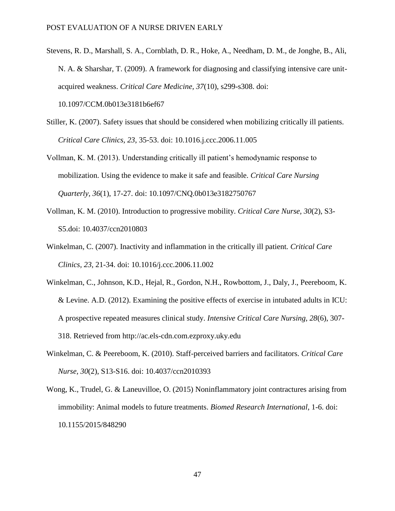- Stevens, R. D., Marshall, S. A., Cornblath, D. R., Hoke, A., Needham, D. M., de Jonghe, B., Ali, N. A. & Sharshar, T. (2009). A framework for diagnosing and classifying intensive care unitacquired weakness. *Critical Care Medicine, 37*(10), s299-s308. doi: 10.1097/CCM.0b013e3181b6ef67
- Stiller, K. (2007). Safety issues that should be considered when mobilizing critically ill patients.
- *Critical Care Clinics, 23*, 35-53. doi: 10.1016.j.ccc.2006.11.005
- Vollman, K. M. (2013). Understanding critically ill patient's hemodynamic response to mobilization. Using the evidence to make it safe and feasible. *Critical Care Nursing Quarterly, 36*(1), 17-27. doi: 10.1097/CNQ.0b013e3182750767
- Vollman, K. M. (2010). Introduction to progressive mobility. *Critical Care Nurse, 30*(2), S3- S5.doi: 10.4037/ccn2010803
- Winkelman, C. (2007). Inactivity and inflammation in the critically ill patient*. Critical Care Clinics, 23*, 21-34. doi: 10.1016/j.ccc.2006.11.002
- Winkelman, C., Johnson, K.D., Hejal, R., Gordon, N.H., Rowbottom, J., Daly, J., Peereboom, K. & Levine. A.D. (2012). Examining the positive effects of exercise in intubated adults in ICU: A prospective repeated measures clinical study. *Intensive Critical Care Nursing, 28*(6), 307- 318. Retrieved from http://ac.els-cdn.com.ezproxy.uky.edu
- Winkelman, C. & Peereboom, K. (2010). Staff-perceived barriers and facilitators. *Critical Care Nurse, 30*(2), S13-S16. doi: 10.4037/ccn2010393
- Wong, K., Trudel, G. & Laneuvilloe, O. (2015) Noninflammatory joint contractures arising from immobility: Animal models to future treatments. *Biomed Research International*, 1-6. doi: 10.1155/2015/848290